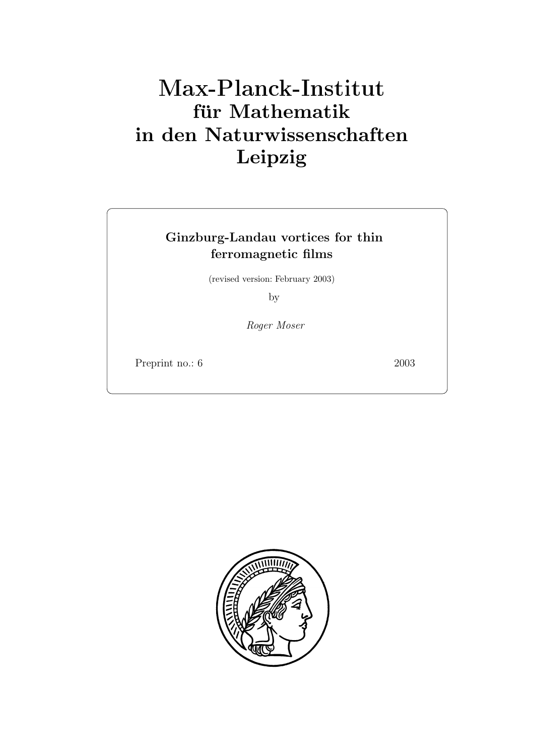# **fur Mathematik ¨ in den Naturwissenschaften Leipzig**

## **Ginzburg-Landau vortices for thin ferromagnetic films**

(revised version: February 2003)

by

*Roger Moser*

Preprint no.: 6 2003 Preprint no.: 6 2003 Preprint no.: 6 2003 Preprint no.: 6 2003 Preprint no.: 6 2003 Prepr

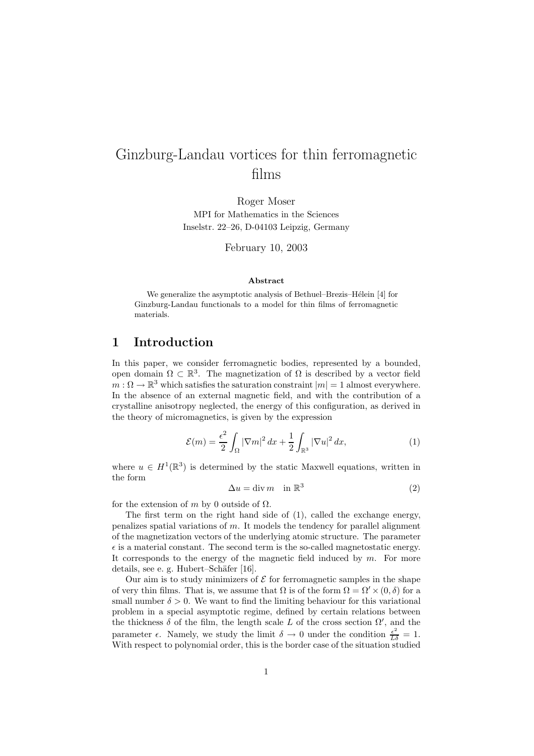## Ginzburg-Landau vortices for thin ferromagnetic films

MPI for Mathematics in the Sciences Inselstr. 22–26, D-04103 Leipzig, Germany

February 10, 2003

#### **Abstract**

We generalize the asymptotic analysis of Bethuel–Brezis–Hélein [4] for Ginzburg-Landau functionals to a model for thin films of ferromagnetic materials.

#### **1 Introduction**

In this paper, we consider ferromagnetic bodies, represented by a bounded, open domain  $\Omega \subset \mathbb{R}^3$ . The magnetization of  $\Omega$  is described by a vector field  $m: \Omega \to \mathbb{R}^3$  which satisfies the saturation constraint  $|m| = 1$  almost everywhere. In the absence of an external magnetic field, and with the contribution of a crystalline anisotropy neglected, the energy of this configuration, as derived in the theory of micromagnetics, is given by the expression

$$
\mathcal{E}(m) = \frac{\epsilon^2}{2} \int_{\Omega} |\nabla m|^2 dx + \frac{1}{2} \int_{\mathbb{R}^3} |\nabla u|^2 dx, \tag{1}
$$

where  $u \in H^1(\mathbb{R}^3)$  is determined by the static Maxwell equations, written in the form

$$
\Delta u = \text{div } m \quad \text{in } \mathbb{R}^3 \tag{2}
$$

for the extension of m by 0 outside of  $\Omega$ .

The first term on the right hand side of (1), called the exchange energy, penalizes spatial variations of m. It models the tendency for parallel alignment of the magnetization vectors of the underlying atomic structure. The parameter  $\epsilon$  is a material constant. The second term is the so-called magnetostatic energy. It corresponds to the energy of the magnetic field induced by  $m$ . For more details, see e. g. Hubert–Schäfer [16].

Our aim is to study minimizers of  $\mathcal E$  for ferromagnetic samples in the shape of very thin films. That is, we assume that  $\Omega$  is of the form  $\Omega = \Omega' \times (0, \delta)$  for a small number  $\delta > 0$ . We want to find the limiting behaviour for this variational problem in a special asymptotic regime, defined by certain relations between the thickness  $\delta$  of the film, the length scale L of the cross section  $\Omega'$ , and the parameter  $\epsilon$ . Namely, we study the limit  $\delta \to 0$  under the condition  $\frac{\epsilon^2}{L\delta} = 1$ . With respect to polynomial order, this is the border case of the situation studied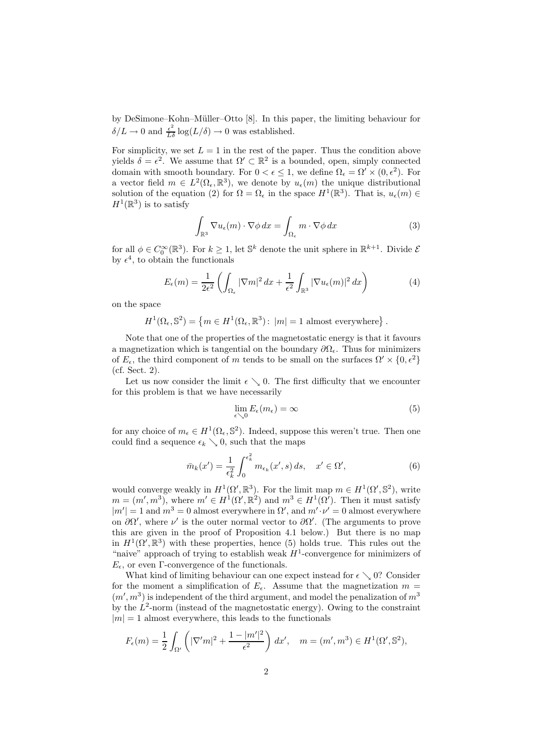by DeSimone–Kohn–Müller–Otto [8]. In this paper, the limiting behaviour for  $\delta/L \to 0$  and  $\frac{\epsilon^2}{L\delta} \log(L/\delta) \to 0$  was established.

For simplicity, we set  $L = 1$  in the rest of the paper. Thus the condition above yields  $\delta = \epsilon^2$ . We assume that  $\Omega' \subset \mathbb{R}^2$  is a bounded, open, simply connected domain with smooth boundary. For  $0 < \epsilon \leq 1$ , we define  $\Omega_{\epsilon} = \Omega' \times (0, \epsilon^2)$ . For a vector field  $m \in L^2(\Omega_\epsilon, \mathbb{R}^3)$ , we denote by  $u_\epsilon(m)$  the unique distributional solution of the equation (2) for  $\Omega = \Omega_{\epsilon}$  in the space  $H^1(\mathbb{R}^3)$ . That is,  $u_{\epsilon}(m) \in$  $H^1(\mathbb{R}^3)$  is to satisfy

$$
\int_{\mathbb{R}^3} \nabla u_{\epsilon}(m) \cdot \nabla \phi \, dx = \int_{\Omega_{\epsilon}} m \cdot \nabla \phi \, dx \tag{3}
$$

for all  $\phi \in C_0^{\infty}(\mathbb{R}^3)$ . For  $k \geq 1$ , let  $\mathbb{S}^k$  denote the unit sphere in  $\mathbb{R}^{k+1}$ . Divide  $\mathcal{E}$ by  $\epsilon^4$ , to obtain the functionals

$$
E_{\epsilon}(m) = \frac{1}{2\epsilon^2} \left( \int_{\Omega_{\epsilon}} |\nabla m|^2 dx + \frac{1}{\epsilon^2} \int_{\mathbb{R}^3} |\nabla u_{\epsilon}(m)|^2 dx \right) \tag{4}
$$

on the space

$$
H^{1}(\Omega_{\epsilon}, \mathbb{S}^{2}) = \left\{ m \in H^{1}(\Omega_{\epsilon}, \mathbb{R}^{3}) : |m| = 1 \text{ almost everywhere} \right\}.
$$

Note that one of the properties of the magnetostatic energy is that it favours a magnetization which is tangential on the boundary  $\partial\Omega_{\epsilon}$ . Thus for minimizers of  $E_{\epsilon}$ , the third component of m tends to be small on the surfaces  $\Omega' \times \{0, \epsilon^2\}$ (cf. Sect. 2).

Let us now consider the limit  $\epsilon \searrow 0$ . The first difficulty that we encounter for this problem is that we have necessarily

$$
\lim_{\epsilon \searrow 0} E_{\epsilon}(m_{\epsilon}) = \infty \tag{5}
$$

for any choice of  $m_{\epsilon} \in H^1(\Omega_{\epsilon}, \mathbb{S}^2)$ . Indeed, suppose this weren't true. Then one could find a sequence  $\epsilon_k \searrow 0$ , such that the maps

$$
\bar{m}_k(x') = \frac{1}{\epsilon_k^2} \int_0^{\epsilon_k^2} m_{\epsilon_k}(x', s) ds, \quad x' \in \Omega', \tag{6}
$$

would converge weakly in  $H^1(\Omega', \mathbb{R}^3)$ . For the limit map  $m \in H^1(\Omega', \mathbb{S}^2)$ , write  $m = (m', m^3)$ , where  $m' \in H^1(\Omega', \mathbb{R}^2)$  and  $m^3 \in H^1(\Omega')$ . Then it must satisfy  $|m'| = 1$  and  $m^3 = 0$  almost everywhere in  $\Omega'$ , and  $m' \cdot \nu' = 0$  almost everywhere on  $\partial\Omega'$ , where  $\nu'$  is the outer normal vector to  $\partial\Omega'$ . (The arguments to prove this are given in the proof of Proposition 4.1 below.) But there is no map in  $H^1(\Omega', \mathbb{R}^3)$  with these properties, hence (5) holds true. This rules out the "naive" approach of trying to establish weak  $H^1$ -convergence for minimizers of  $E_{\epsilon}$ , or even Γ-convergence of the functionals.

What kind of limiting behaviour can one expect instead for  $\epsilon \searrow 0$ ? Consider for the moment a simplification of  $E_{\epsilon}$ . Assume that the magnetization  $m =$  $(m', m^3)$  is independent of the third argument, and model the penalization of  $m^3$ by the  $L^2$ -norm (instead of the magnetostatic energy). Owing to the constraint  $|m| = 1$  almost everywhere, this leads to the functionals

$$
F_{\epsilon}(m) = \frac{1}{2} \int_{\Omega'} \left( |\nabla'm|^2 + \frac{1 - |m'|^2}{\epsilon^2} \right) dx', \quad m = (m', m^3) \in H^1(\Omega', \mathbb{S}^2),
$$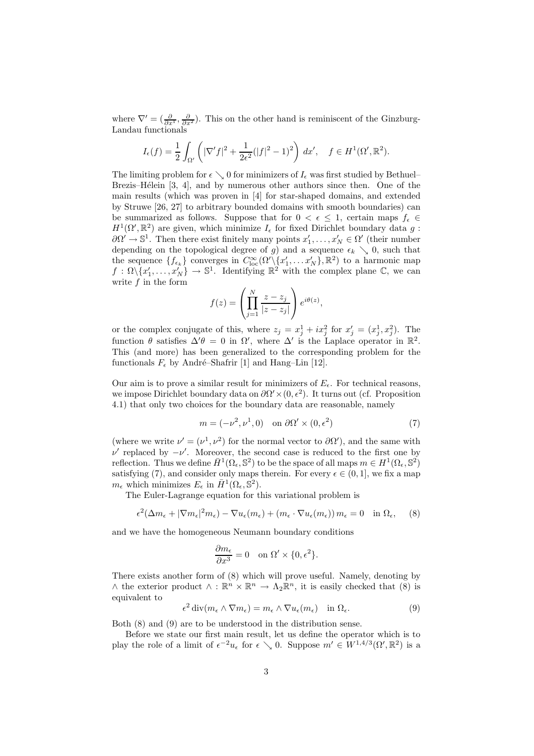where  $\nabla' = (\frac{\partial}{\partial x^1}, \frac{\partial}{\partial x^2})$ . This on the other hand is reminiscent of the Ginzburg-Landau functionals

$$
I_{\epsilon}(f) = \frac{1}{2} \int_{\Omega'} \left( |\nabla' f|^2 + \frac{1}{2\epsilon^2} (|f|^2 - 1)^2 \right) dx', \quad f \in H^1(\Omega', \mathbb{R}^2).
$$

The limiting problem for  $\epsilon \searrow 0$  for minimizers of  $I_{\epsilon}$  was first studied by Bethuel– Brezis–Hélein  $[3, 4]$ , and by numerous other authors since then. One of the main results (which was proven in [4] for star-shaped domains, and extended by Struwe [26, 27] to arbitrary bounded domains with smooth boundaries) can be summarized as follows. Suppose that for  $0 < \epsilon \leq 1$ , certain maps  $f_{\epsilon} \in$  $H^1(\Omega', \mathbb{R}^2)$  are given, which minimize  $I_\epsilon$  for fixed Dirichlet boundary data g:  $\partial \Omega' \to \mathbb{S}^1$ . Then there exist finitely many points  $x'_1, \ldots, x'_N \in \Omega'$  (their number depending on the topological degree of g) and a sequence  $\epsilon_k \searrow 0$ , such that the sequence  $\{f_{\epsilon_k}\}$  converges in  $C^{\infty}_{loc}(\Omega'\setminus\{x'_1,\ldots x'_N\},\mathbb{R}^2)$  to a harmonic map  $f : \Omega \setminus \{x'_1, \ldots, x'_N\} \to \mathbb{S}^1$ . Identifying  $\mathbb{R}^2$  with the complex plane  $\mathbb{C}$ , we can write  $f$  in the form

$$
f(z) = \left(\prod_{j=1}^{N} \frac{z - z_j}{|z - z_j|}\right) e^{i\theta(z)},
$$

or the complex conjugate of this, where  $z_j = x_j^1 + ix_j^2$  for  $x'_j = (x_j^1, x_j^2)$ . The function  $\theta$  satisfies  $\Delta' \theta = 0$  in  $\Omega'$ , where  $\Delta'$  is the Laplace operator in  $\mathbb{R}^2$ . This (and more) has been generalized to the corresponding problem for the functionals  $F_{\epsilon}$  by André–Shafrir [1] and Hang–Lin [12].

Our aim is to prove a similar result for minimizers of  $E_{\epsilon}$ . For technical reasons, we impose Dirichlet boundary data on  $\partial \Omega' \times (0, \epsilon^2)$ . It turns out (cf. Proposition 4.1) that only two choices for the boundary data are reasonable, namely

$$
m = (-\nu^2, \nu^1, 0) \quad \text{on } \partial\Omega' \times (0, \epsilon^2)
$$
 (7)

(where we write  $\nu' = (\nu^1, \nu^2)$  for the normal vector to  $\partial\Omega'$ ), and the same with  $ν'$  replaced by  $-\nu'$ . Moreover, the second case is reduced to the first one by reflection. Thus we define  $\bar{H}^1(\Omega_\epsilon, \mathbb{S}^2)$  to be the space of all maps  $m \in H^1(\Omega_\epsilon, \mathbb{S}^2)$ satisfying (7), and consider only maps therein. For every  $\epsilon \in (0, 1]$ , we fix a map  $m_{\epsilon}$  which minimizes  $E_{\epsilon}$  in  $H^1(\Omega_{\epsilon}, \mathbb{S}^2)$ .

The Euler-Lagrange equation for this variational problem is

$$
\epsilon^2 (\Delta m_{\epsilon} + |\nabla m_{\epsilon}|^2 m_{\epsilon}) - \nabla u_{\epsilon} (m_{\epsilon}) + (m_{\epsilon} \cdot \nabla u_{\epsilon} (m_{\epsilon})) m_{\epsilon} = 0 \quad \text{in } \Omega_{\epsilon}, \quad (8)
$$

and we have the homogeneous Neumann boundary conditions

$$
\frac{\partial m_{\epsilon}}{\partial x^3} = 0 \quad \text{on } \Omega' \times \{0, \epsilon^2\}.
$$

There exists another form of (8) which will prove useful. Namely, denoting by  $\wedge$  the exterior product  $\wedge$ :  $\mathbb{R}^n \times \mathbb{R}^n \to \Lambda_2 \mathbb{R}^n$ , it is easily checked that (8) is equivalent to

$$
\epsilon^2 \operatorname{div}(m_\epsilon \wedge \nabla m_\epsilon) = m_\epsilon \wedge \nabla u_\epsilon(m_\epsilon) \quad \text{in } \Omega_\epsilon. \tag{9}
$$

Both (8) and (9) are to be understood in the distribution sense.

Before we state our first main result, let us define the operator which is to play the role of a limit of  $\epsilon^{-2}u_{\epsilon}$  for  $\epsilon \searrow 0$ . Suppose  $m' \in W^{1,4/3}(\Omega', \mathbb{R}^2)$  is a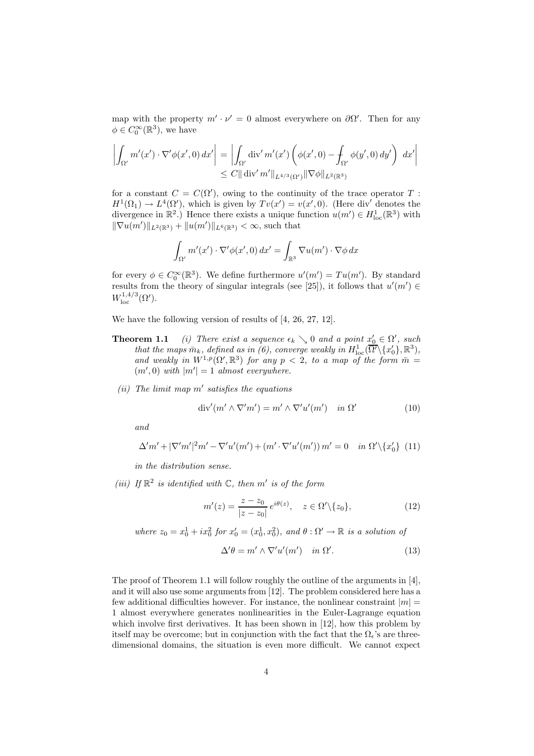map with the property  $m' \cdot \nu' = 0$  almost everywhere on  $\partial \Omega'$ . Then for any  $\phi \in C_0^{\infty}(\mathbb{R}^3)$ , we have

$$
\left| \int_{\Omega'} m'(x') \cdot \nabla' \phi(x', 0) dx' \right| = \left| \int_{\Omega'} \text{div}' m'(x') \left( \phi(x', 0) - \int_{\Omega'} \phi(y', 0) dy' \right) dx' \right|
$$
  

$$
\leq C || \text{div}' m' ||_{L^{4/3}(\Omega')} || \nabla \phi ||_{L^{2}(\mathbb{R}^{3})}
$$

for a constant  $C = C(\Omega')$ , owing to the continuity of the trace operator T:  $H^1(\Omega_1) \to L^4(\Omega')$ , which is given by  $Tv(x') = v(x', 0)$ . (Here div' denotes the divergence in  $\mathbb{R}^2$ .) Hence there exists a unique function  $u(m') \in H^1_{loc}(\mathbb{R}^3)$  with  $\|\nabla u(m')\|_{L^2(\mathbb{R}^3)} + \|u(m')\|_{L^6(\mathbb{R}^3)} < \infty$ , such that

$$
\int_{\Omega'} m'(x') \cdot \nabla' \phi(x', 0) \, dx' = \int_{\mathbb{R}^3} \nabla u(m') \cdot \nabla \phi \, dx
$$

for every  $\phi \in C_0^{\infty}(\mathbb{R}^3)$ . We define furthermore  $u'(m') = Tu(m')$ . By standard results from the theory of singular integrals (see [25]), it follows that  $u'(m') \in$  $W^{1,4/3}_\mathrm{loc}(\Omega').$ 

We have the following version of results of [4, 26, 27, 12].

- **Theorem 1.1** *(i)* There exist a sequence  $\epsilon_k \searrow 0$  and a point  $x'_0 \in \Omega'$ , such *that the maps*  $\bar{m}_k$ *, defined as in (6), converge weakly in*  $H^1_{\text{loc}}(\overline{\Omega'}\backslash\{x_0'\}, \mathbb{R}^3)$ *,* and weakly in  $W^{1,p}(\Omega', \mathbb{R}^3)$  for any  $p < 2$ , to a map of the form  $\overline{m} =$  $(m', 0)$  with  $|m'| = 1$  almost everywhere.
- $(iii)$  The limit map  $m'$  satisfies the equations

$$
\operatorname{div}'(m' \wedge \nabla'm') = m' \wedge \nabla'u'(m') \quad in \ \Omega' \tag{10}
$$

*and*

$$
\Delta'm' + |\nabla'm'|^2 m' - \nabla'u'(m') + (m' \cdot \nabla'u'(m')) m' = 0 \quad in \ \Omega' \setminus \{x'_0\} \tag{11}
$$

*in the distribution sense.*

*(iii)* If  $\mathbb{R}^2$  *is identified with*  $\mathbb{C}$ *, then*  $m'$  *is of the form* 

$$
m'(z) = \frac{z - z_0}{|z - z_0|} e^{i\theta(z)}, \quad z \in \Omega' \setminus \{z_0\},\tag{12}
$$

*where*  $z_0 = x_0^1 + ix_0^2$  *for*  $x'_0 = (x_0^1, x_0^2)$ *, and*  $\theta : \Omega' \to \mathbb{R}$  *is a solution of* 

$$
\Delta' \theta = m' \wedge \nabla' u'(m') \quad in \ \Omega'. \tag{13}
$$

The proof of Theorem 1.1 will follow roughly the outline of the arguments in [4], and it will also use some arguments from [12]. The problem considered here has a few additional difficulties however. For instance, the nonlinear constraint  $|m| =$ 1 almost everywhere generates nonlinearities in the Euler-Lagrange equation which involve first derivatives. It has been shown in [12], how this problem by itself may be overcome; but in conjunction with the fact that the  $\Omega_{\epsilon}$ 's are threedimensional domains, the situation is even more difficult. We cannot expect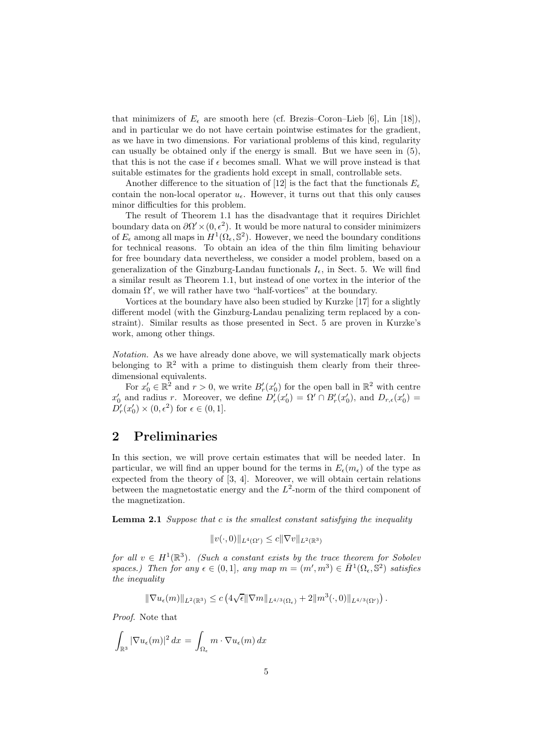that minimizers of  $E_{\epsilon}$  are smooth here (cf. Brezis–Coron–Lieb [6], Lin [18]), and in particular we do not have certain pointwise estimates for the gradient, as we have in two dimensions. For variational problems of this kind, regularity can usually be obtained only if the energy is small. But we have seen in (5), that this is not the case if  $\epsilon$  becomes small. What we will prove instead is that suitable estimates for the gradients hold except in small, controllable sets.

Another difference to the situation of [12] is the fact that the functionals  $E_{\epsilon}$ contain the non-local operator  $u_{\epsilon}$ . However, it turns out that this only causes minor difficulties for this problem.

The result of Theorem 1.1 has the disadvantage that it requires Dirichlet boundary data on  $\partial \Omega' \times (0, \epsilon^2)$ . It would be more natural to consider minimizers of  $E_{\epsilon}$  among all maps in  $H^{1}(\Omega_{\epsilon}, \mathbb{S}^{2})$ . However, we need the boundary conditions for technical reasons. To obtain an idea of the thin film limiting behaviour for free boundary data nevertheless, we consider a model problem, based on a generalization of the Ginzburg-Landau functionals  $I_{\epsilon}$ , in Sect. 5. We will find a similar result as Theorem 1.1, but instead of one vortex in the interior of the domain  $\Omega'$ , we will rather have two "half-vortices" at the boundary.

Vortices at the boundary have also been studied by Kurzke [17] for a slightly different model (with the Ginzburg-Landau penalizing term replaced by a constraint). Similar results as those presented in Sect. 5 are proven in Kurzke's work, among other things.

*Notation.* As we have already done above, we will systematically mark objects belonging to  $\mathbb{R}^2$  with a prime to distinguish them clearly from their threedimensional equivalents.

For  $x'_0 \in \mathbb{R}^2$  and  $r > 0$ , we write  $B'_r(x'_0)$  for the open ball in  $\mathbb{R}^2$  with centre  $x'_0$  and radius r. Moreover, we define  $D'_r(x'_0) = \Omega' \cap B'_r(x'_0)$ , and  $D_{r,\epsilon}(x'_0) =$  $D'_r(x'_0) \times (0, \epsilon^2)$  for  $\epsilon \in (0, 1]$ .

### **2 Preliminaries**

In this section, we will prove certain estimates that will be needed later. In particular, we will find an upper bound for the terms in  $E_{\epsilon}(m_{\epsilon})$  of the type as expected from the theory of [3, 4]. Moreover, we will obtain certain relations between the magnetostatic energy and the  $L^2$ -norm of the third component of the magnetization.

**Lemma 2.1** *Suppose that* c *is the smallest constant satisfying the inequality*

$$
||v(\cdot,0)||_{L^4(\Omega')}\leq c||\nabla v||_{L^2(\mathbb{R}^3)}
$$

*for all*  $v \in H^1(\mathbb{R}^3)$ *. (Such a constant exists by the trace theorem for Sobolev spaces.) Then for any*  $\epsilon \in (0,1]$ *, any*  $map \ m = (m', m^3) \in \overline{H}^1(\Omega_{\epsilon}, \mathbb{S}^2)$  *satisfies the inequality*

$$
\|\nabla u_{\epsilon}(m)\|_{L^{2}(\mathbb{R}^{3})}\leq c\left(4\sqrt{\epsilon}\|\nabla m\|_{L^{4/3}(\Omega_{\epsilon})}+2\|m^{3}(\cdot,0)\|_{L^{4/3}(\Omega')}\right).
$$

*Proof.* Note that

$$
\int_{\mathbb{R}^3} |\nabla u_{\epsilon}(m)|^2 dx = \int_{\Omega_{\epsilon}} m \cdot \nabla u_{\epsilon}(m) dx
$$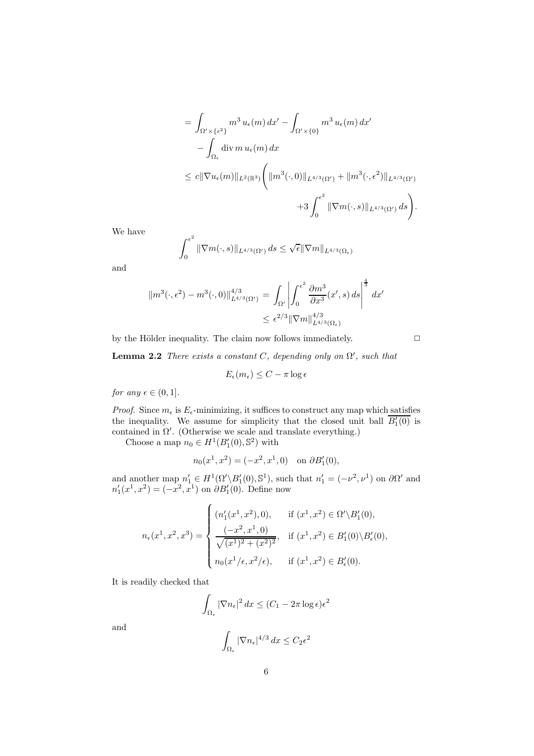$$
= \int_{\Omega' \times \{\epsilon^2\}} m^3 u_{\epsilon}(m) dx' - \int_{\Omega' \times \{0\}} m^3 u_{\epsilon}(m) dx' - \int_{\Omega_{\epsilon}} \operatorname{div} m u_{\epsilon}(m) dx \leq c \|\nabla u_{\epsilon}(m)\|_{L^2(\mathbb{R}^3)} \left( \|m^3(\cdot, 0)\|_{L^{4/3}(\Omega')} + \|m^3(\cdot, \epsilon^2)\|_{L^{4/3}(\Omega')} \right. + 3 \int_0^{\epsilon^2} \|\nabla m(\cdot, s)\|_{L^{4/3}(\Omega')} ds \right).
$$

We have

$$
\int_0^{\epsilon^2} \|\nabla m(\cdot,s)\|_{L^{4/3}(\Omega')} \,ds \leq \sqrt{\epsilon} \|\nabla m\|_{L^{4/3}(\Omega_{\epsilon})}
$$

and

$$
\|m^{3}(\cdot,\epsilon^{2})-m^{3}(\cdot,0)\|_{L^{4/3}(\Omega')}^{4/3} = \int_{\Omega'} \left| \int_{0}^{\epsilon^{2}} \frac{\partial m^{3}}{\partial x^{3}}(x',s) ds \right|^{3} dx'
$$
  

$$
\leq \epsilon^{2/3} \|\nabla m\|_{L^{4/3}(\Omega_{\epsilon})}^{4/3}
$$

by the Hölder inequality. The claim now follows immediately.  $\hfill \Box$ 

**Lemma 2.2** *There exists a constant*  $C$ *, depending only on*  $\Omega'$ *, such that* 

$$
E_{\epsilon}(m_{\epsilon}) \leq C - \pi \log \epsilon
$$

*for any*  $\epsilon \in (0, 1]$ *.* 

*Proof.* Since  $m_{\epsilon}$  is  $E_{\epsilon}$ -minimizing, it suffices to construct any map which satisfies the inequality. We assume for simplicity that the closed unit ball  $\overline{B_1'(0)}$  is contained in  $\Omega'$ . (Otherwise we scale and translate everything.)

Choose a map  $n_0 \in H^1(B'_1(0), \mathbb{S}^2)$  with

$$
n_0(x^1, x^2) = (-x^2, x^1, 0)
$$
 on  $\partial B'_1(0)$ ,

and another map  $n'_1 \in H^1(\Omega' \backslash B'_1(0), \mathbb{S}^1)$ , such that  $n'_1 = (-\nu^2, \nu^1)$  on  $\partial \Omega'$  and  $n'_1(x^1, x^2) = (-x^2, x^1)$  on  $\partial B'_1(0)$ . Define now

$$
n_{\epsilon}(x^{1}, x^{2}, x^{3}) = \begin{cases} (n'_{1}(x^{1}, x^{2}), 0), & \text{if } (x^{1}, x^{2}) \in \Omega' \backslash B'_{1}(0), \\ \frac{(-x^{2}, x^{1}, 0)}{\sqrt{(x^{1})^{2} + (x^{2})^{2}}}, & \text{if } (x^{1}, x^{2}) \in B'_{1}(0) \backslash B'_{\epsilon}(0), \\ n_{0}(x^{1}/\epsilon, x^{2}/\epsilon), & \text{if } (x^{1}, x^{2}) \in B'_{\epsilon}(0). \end{cases}
$$

It is readily checked that

$$
\int_{\Omega_{\epsilon}} |\nabla n_{\epsilon}|^2 dx \le (C_1 - 2\pi \log \epsilon) \epsilon^2
$$

and

$$
\int_{\Omega_{\epsilon}} |\nabla n_{\epsilon}|^{4/3} dx \le C_2 \epsilon^2
$$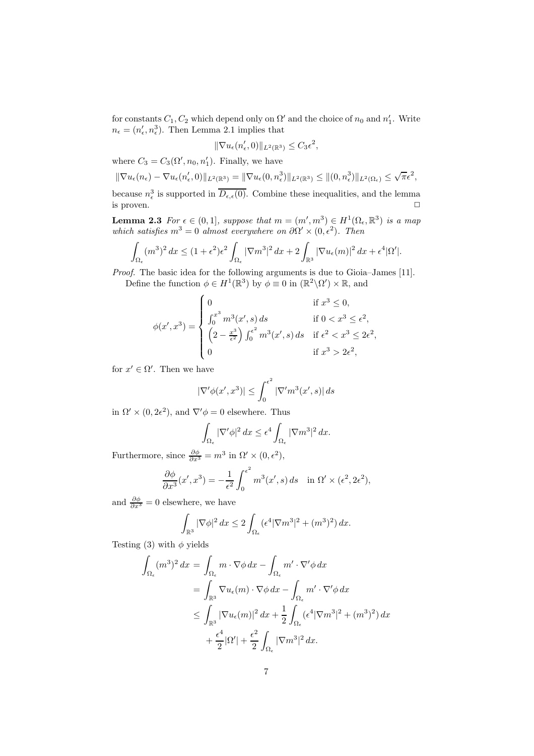for constants  $C_1, C_2$  which depend only on  $\Omega'$  and the choice of  $n_0$  and  $n'_1$ . Write  $n_{\epsilon} = (n_{\epsilon}', n_{\epsilon}^3)$ . Then Lemma 2.1 implies that

$$
\|\nabla u_{\epsilon}(n'_{\epsilon},0)\|_{L^2(\mathbb{R}^3)} \leq C_3 \epsilon^2,
$$

where  $C_3 = C_3(\Omega', n_0, n'_1)$ . Finally, we have

$$
\|\nabla u_{\epsilon}(n_{\epsilon}) - \nabla u_{\epsilon}(n_{\epsilon}',0)\|_{L^{2}(\mathbb{R}^{3})} = \|\nabla u_{\epsilon}(0,n_{\epsilon}^{3})\|_{L^{2}(\mathbb{R}^{3})} \leq \|(0,n_{\epsilon}^{3})\|_{L^{2}(\Omega_{\epsilon})} \leq \sqrt{\pi}\epsilon^{2},
$$

because  $n_{\epsilon}^{3}$  is supported in  $\overline{D_{\epsilon,\epsilon}(0)}$ . Combine these inequalities, and the lemma is proven.  $\Box$ 

**Lemma 2.3** *For*  $\epsilon \in (0,1]$ *, suppose that*  $m = (m', m^3) \in H^1(\Omega_{\epsilon}, \mathbb{R}^3)$  *is a map which satisfies*  $m^3 = 0$  *almost everywhere on*  $\partial \Omega' \times (0, \epsilon^2)$ *. Then* 

$$
\int_{\Omega_{\epsilon}} (m^3)^2 dx \le (1+\epsilon^2)\epsilon^2 \int_{\Omega_{\epsilon}} |\nabla m^3|^2 dx + 2 \int_{\mathbb{R}^3} |\nabla u_{\epsilon}(m)|^2 dx + \epsilon^4 |\Omega'|.
$$

*Proof.* The basic idea for the following arguments is due to Gioia–James [11]. Define the function  $\phi \in H^1(\mathbb{R}^3)$  by  $\phi \equiv 0$  in  $(\mathbb{R}^2 \setminus \Omega') \times \mathbb{R}$ , and

$$
\phi(x', x^3) = \begin{cases}\n0 & \text{if } x^3 \le 0, \\
\int_0^{x^3} m^3(x', s) ds & \text{if } 0 < x^3 \le \epsilon^2, \\
\left(2 - \frac{x^3}{\epsilon^2}\right) \int_0^{\epsilon^2} m^3(x', s) ds & \text{if } \epsilon^2 < x^3 \le 2\epsilon^2, \\
0 & \text{if } x^3 > 2\epsilon^2,\n\end{cases}
$$

for  $x' \in \Omega'$ . Then we have

$$
|\nabla' \phi(x', x^3)| \le \int_0^{\epsilon^2} |\nabla' m^3(x', s)| ds
$$

in  $\Omega' \times (0, 2\epsilon^2)$ , and  $\nabla' \phi = 0$  elsewhere. Thus

$$
\int_{\Omega_{\epsilon}} |\nabla' \phi|^2 dx \le \epsilon^4 \int_{\Omega_{\epsilon}} |\nabla m^3|^2 dx.
$$

Furthermore, since  $\frac{\partial \phi}{\partial x^3} = m^3$  in  $\Omega' \times (0, \epsilon^2)$ ,

$$
\frac{\partial \phi}{\partial x^3}(x', x^3) = -\frac{1}{\epsilon^2} \int_0^{\epsilon^2} m^3(x', s) ds \quad \text{in } \Omega' \times (\epsilon^2, 2\epsilon^2),
$$

and  $\frac{\partial \phi}{\partial x^3} = 0$  elsewhere, we have

$$
\int_{\mathbb{R}^3} |\nabla \phi|^2 dx \le 2 \int_{\Omega_{\epsilon}} (\epsilon^4 |\nabla m^3|^2 + (m^3)^2) dx.
$$

Testing (3) with  $\phi$  yields

$$
\int_{\Omega_{\epsilon}} (m^3)^2 dx = \int_{\Omega_{\epsilon}} m \cdot \nabla \phi dx - \int_{\Omega_{\epsilon}} m' \cdot \nabla' \phi dx
$$
  
\n
$$
= \int_{\mathbb{R}^3} \nabla u_{\epsilon}(m) \cdot \nabla \phi dx - \int_{\Omega_{\epsilon}} m' \cdot \nabla' \phi dx
$$
  
\n
$$
\leq \int_{\mathbb{R}^3} |\nabla u_{\epsilon}(m)|^2 dx + \frac{1}{2} \int_{\Omega_{\epsilon}} (\epsilon^4 |\nabla m^3|^2 + (m^3)^2) dx
$$
  
\n
$$
+ \frac{\epsilon^4}{2} |\Omega'| + \frac{\epsilon^2}{2} \int_{\Omega_{\epsilon}} |\nabla m^3|^2 dx.
$$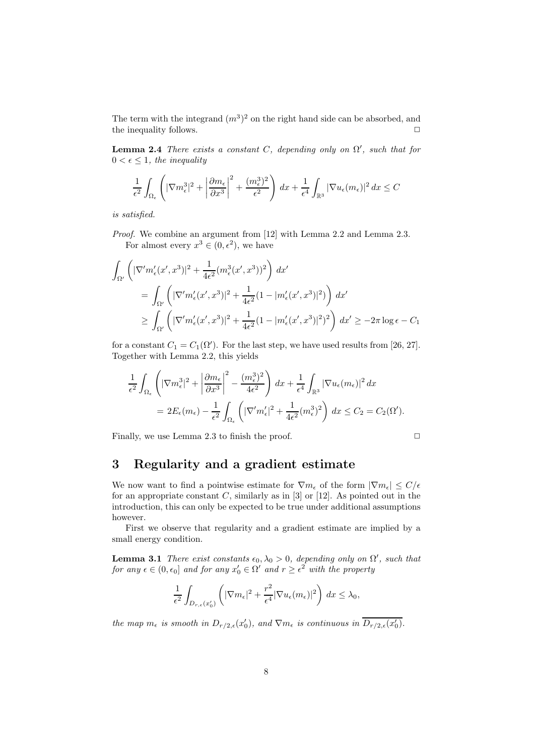The term with the integrand  $(m^3)^2$  on the right hand side can be absorbed, and the inequality follows.  $\Box$ 

**Lemma 2.4** *There exists a constant*  $C$ , depending only on  $\Omega'$ , such that for  $0 < \epsilon \leq 1$ , the inequality

$$
\frac{1}{\epsilon^2} \int_{\Omega_{\epsilon}} \left( |\nabla m_{\epsilon}^3|^2 + \left| \frac{\partial m_{\epsilon}}{\partial x^3} \right|^2 + \frac{(m_{\epsilon}^3)^2}{\epsilon^2} \right) dx + \frac{1}{\epsilon^4} \int_{\mathbb{R}^3} |\nabla u_{\epsilon}(m_{\epsilon})|^2 dx \le C
$$

*is satisfied.*

*Proof.* We combine an argument from [12] with Lemma 2.2 and Lemma 2.3. For almost every  $x^3 \in (0, \epsilon^2)$ , we have

$$
\int_{\Omega'} \left( |\nabla' m_{\epsilon}'(x', x^3)|^2 + \frac{1}{4\epsilon^2} (m_{\epsilon}^3(x', x^3))^2 \right) dx'
$$
  
\n
$$
= \int_{\Omega'} \left( |\nabla' m_{\epsilon}'(x', x^3)|^2 + \frac{1}{4\epsilon^2} (1 - |m_{\epsilon}'(x', x^3)|^2) \right) dx'
$$
  
\n
$$
\geq \int_{\Omega'} \left( |\nabla' m_{\epsilon}'(x', x^3)|^2 + \frac{1}{4\epsilon^2} (1 - |m_{\epsilon}'(x', x^3)|^2)^2 \right) dx' \geq -2\pi \log \epsilon - C_1
$$

for a constant  $C_1 = C_1(\Omega')$ . For the last step, we have used results from [26, 27]. Together with Lemma 2.2, this yields

$$
\frac{1}{\epsilon^2} \int_{\Omega_{\epsilon}} \left( |\nabla m_{\epsilon}^3|^2 + \left| \frac{\partial m_{\epsilon}}{\partial x^3} \right|^2 - \frac{(m_{\epsilon}^3)^2}{4\epsilon^2} \right) dx + \frac{1}{\epsilon^4} \int_{\mathbb{R}^3} |\nabla u_{\epsilon}(m_{\epsilon})|^2 dx
$$
  
= 
$$
2E_{\epsilon}(m_{\epsilon}) - \frac{1}{\epsilon^2} \int_{\Omega_{\epsilon}} \left( |\nabla' m_{\epsilon}'|^2 + \frac{1}{4\epsilon^2} (m_{\epsilon}^3)^2 \right) dx \le C_2 = C_2(\Omega').
$$

Finally, we use Lemma 2.3 to finish the proof.

$$
\qquad \qquad \Box
$$

#### **3 Regularity and a gradient estimate**

We now want to find a pointwise estimate for  $\nabla m_{\epsilon}$  of the form  $|\nabla m_{\epsilon}| \leq C/\epsilon$ for an appropriate constant  $C$ , similarly as in [3] or [12]. As pointed out in the introduction, this can only be expected to be true under additional assumptions however.

First we observe that regularity and a gradient estimate are implied by a small energy condition.

**Lemma 3.1** *There exist constants*  $\epsilon_0$ ,  $\lambda_0 > 0$ , *depending only on*  $\Omega'$ , *such that for any*  $\epsilon \in (0, \epsilon_0]$  *and for any*  $x'_0 \in \Omega'$  *and*  $r \geq \epsilon^2$  *with the property* 

$$
\frac{1}{\epsilon^2} \int_{D_{r,\epsilon}(x_0')} \left(|\nabla m_\epsilon|^2 + \frac{r^2}{\epsilon^4} |\nabla u_\epsilon(m_\epsilon)|^2 \right) \, dx \leq \lambda_0,
$$

*the map*  $m_{\epsilon}$  *is smooth in*  $D_{r/2,\epsilon}(x_0')$ *, and*  $\nabla m_{\epsilon}$  *is continuous in*  $\overline{D_{r/2,\epsilon}(x_0')}$ *.*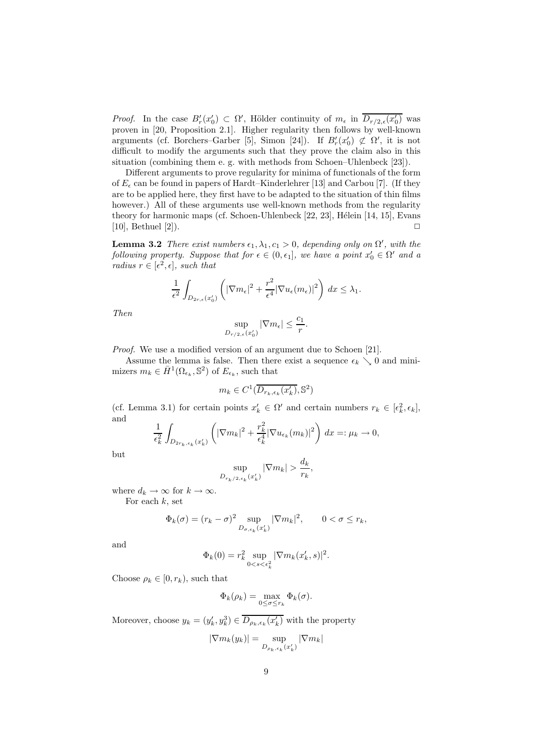*Proof.* In the case  $B'_r(x'_0) \subset \Omega'$ , Hölder continuity of  $m_\epsilon$  in  $\overline{D_{r/2,\epsilon}(x'_0)}$  was proven in [20, Proposition 2.1]. Higher regularity then follows by well-known arguments (cf. Borchers–Garber [5], Simon [24]). If  $B'_r(x'_0) \not\subset \Omega'$ , it is not difficult to modify the arguments such that they prove the claim also in this situation (combining them e. g. with methods from Schoen–Uhlenbeck [23]).

Different arguments to prove regularity for minima of functionals of the form of  $E_{\epsilon}$  can be found in papers of Hardt–Kinderlehrer [13] and Carbou [7]. (If they are to be applied here, they first have to be adapted to the situation of thin films however.) All of these arguments use well-known methods from the regularity theory for harmonic maps (cf. Schoen-Uhlenbeck  $[22, 23]$ , Hélein  $[14, 15]$ , Evans  $[10]$ , Bethuel  $[2]$ ).

**Lemma 3.2** *There exist numbers*  $\epsilon_1, \lambda_1, c_1 > 0$ , *depending only on*  $\Omega'$ , *with the following property. Suppose that for*  $\epsilon \in (0, \epsilon_1]$ , we have a point  $x'_0 \in \Omega'$  and a *radius*  $r \in [\epsilon^2, \epsilon]$ *, such that* 

$$
\frac{1}{\epsilon^2} \int_{D_{2r,\epsilon}(x'_0)} \left( |\nabla m_{\epsilon}|^2 + \frac{r^2}{\epsilon^4} |\nabla u_{\epsilon}(m_{\epsilon})|^2 \right) dx \leq \lambda_1.
$$

*Then*

$$
\sup_{D_{r/2,\epsilon}(x_0')} |\nabla m_{\epsilon}| \le \frac{c_1}{r}.
$$

*Proof.* We use a modified version of an argument due to Schoen [21].

Assume the lemma is false. Then there exist a sequence  $\epsilon_k \searrow 0$  and minimizers  $m_k \in \bar{H}^1(\Omega_{\epsilon_k}, \mathbb{S}^2)$  of  $E_{\epsilon_k}$ , such that

$$
m_k \in C^1(\overline{D_{r_k,\epsilon_k}(x'_k)}, \mathbb{S}^2)
$$

(cf. Lemma 3.1) for certain points  $x'_k \in \Omega'$  and certain numbers  $r_k \in [\epsilon_k^2, \epsilon_k]$ , and  $\overline{2}$ 

$$
\frac{1}{\epsilon_k^2} \int_{D_{2r_k,\epsilon_k}(x'_k)} \left( |\nabla m_k|^2 + \frac{r_k^2}{\epsilon_k^4} |\nabla u_{\epsilon_k}(m_k)|^2 \right) dx =: \mu_k \to 0,
$$

but

$$
\sup_{D_{r_k/2,\epsilon_k}(x'_k)} |\nabla m_k| > \frac{d_k}{r_k},
$$

where  $d_k \to \infty$  for  $k \to \infty$ .

For each  $k$ , set

$$
\Phi_k(\sigma) = (r_k - \sigma)^2 \sup_{D_{\sigma, \epsilon_k}(x'_k)} |\nabla m_k|^2, \qquad 0 < \sigma \le r_k,
$$

and

$$
\Phi_k(0) = r_k^2 \sup_{0 < s < \epsilon_k^2} |\nabla m_k(x'_k, s)|^2.
$$

Choose  $\rho_k \in [0, r_k)$ , such that

$$
\Phi_k(\rho_k) = \max_{0 \le \sigma \le r_k} \Phi_k(\sigma).
$$

Moreover, choose  $y_k = (y'_k, y_k^3) \in \overline{D_{\rho_k, \epsilon_k}(x'_k)}$  with the property

$$
|\nabla m_k(y_k)|=\sup_{D_{\rho_k,\epsilon_k}(x_k')}|\nabla m_k|
$$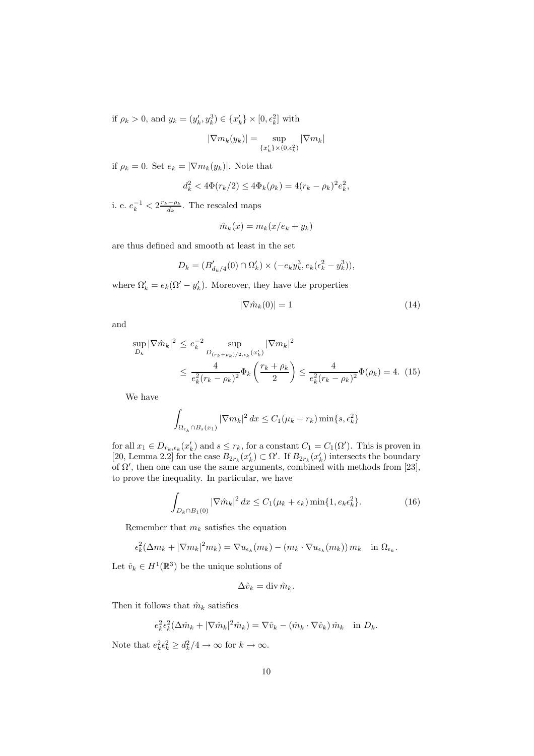if  $\rho_k > 0$ , and  $y_k = (y'_k, y_k^3) \in \{x'_k\} \times [0, \epsilon_k^2]$  with

$$
|\nabla m_k(y_k)| = \sup_{\{x'_k\}\times(0,\epsilon_k^2)} |\nabla m_k|
$$

if  $\rho_k = 0$ . Set  $e_k = |\nabla m_k(y_k)|$ . Note that

$$
d_k^2 < 4\Phi(r_k/2) \le 4\Phi_k(\rho_k) = 4(r_k - \rho_k)^2 e_k^2,
$$

i. e.  $e_k^{-1} < 2 \frac{r_k - \rho_k}{d_k}$ . The rescaled maps

$$
\hat{m}_k(x) = m_k(x/e_k + y_k)
$$

are thus defined and smooth at least in the set

$$
D_k = (B'_{d_k/4}(0) \cap \Omega'_k) \times (-e_k y_k^3, e_k(\epsilon_k^2 - y_k^3)),
$$

where  $\Omega'_k = e_k(\Omega' - y'_k)$ . Moreover, they have the properties

$$
|\nabla \hat{m}_k(0)| = 1 \tag{14}
$$

and

$$
\sup_{D_k} |\nabla \hat{m}_k|^2 \le e_k^{-2} \sup_{D_{(r_k + \rho_k)/2, \epsilon_k}(x'_k)} |\nabla m_k|^2
$$
  
 
$$
\le \frac{4}{e_k^2 (r_k - \rho_k)^2} \Phi_k \left( \frac{r_k + \rho_k}{2} \right) \le \frac{4}{e_k^2 (r_k - \rho_k)^2} \Phi(\rho_k) = 4. (15)
$$

We have

$$
\int_{\Omega_{\epsilon_k} \cap B_s(x_1)} |\nabla m_k|^2 dx \le C_1(\mu_k + r_k) \min\{s, \epsilon_k^2\}
$$

for all  $x_1 \in D_{r_k,\epsilon_k}(x'_k)$  and  $s \leq r_k$ , for a constant  $C_1 = C_1(\Omega')$ . This is proven in [20, Lemma 2.2] for the case  $B_{2r_k}(x'_k) \subset \Omega'$ . If  $B_{2r_k}(x'_k)$  intersects the boundary of  $\Omega'$ , then one can use the same arguments, combined with methods from [23], to prove the inequality. In particular, we have

$$
\int_{D_k \cap B_1(0)} |\nabla \hat{m}_k|^2 dx \le C_1(\mu_k + \epsilon_k) \min\{1, e_k \epsilon_k^2\}.
$$
 (16)

Remember that  $m_k$  satisfies the equation

$$
\epsilon_k^2(\Delta m_k + |\nabla m_k|^2 m_k) = \nabla u_{\epsilon_k}(m_k) - (m_k \cdot \nabla u_{\epsilon_k}(m_k)) m_k \quad \text{in } \Omega_{\epsilon_k}.
$$

Let  $\hat{v}_k \in H^1(\mathbb{R}^3)$  be the unique solutions of

$$
\Delta \hat{v}_k = \operatorname{div} \hat{m}_k.
$$

Then it follows that  $\hat{m}_k$  satisfies

$$
e_k^2 \epsilon_k^2 (\Delta \hat{m}_k + |\nabla \hat{m}_k|^2 \hat{m}_k) = \nabla \hat{v}_k - (\hat{m}_k \cdot \nabla \hat{v}_k) \hat{m}_k \quad \text{in } D_k.
$$

Note that  $e_k^2 \epsilon_k^2 \geq d_k^2/4 \to \infty$  for  $k \to \infty$ .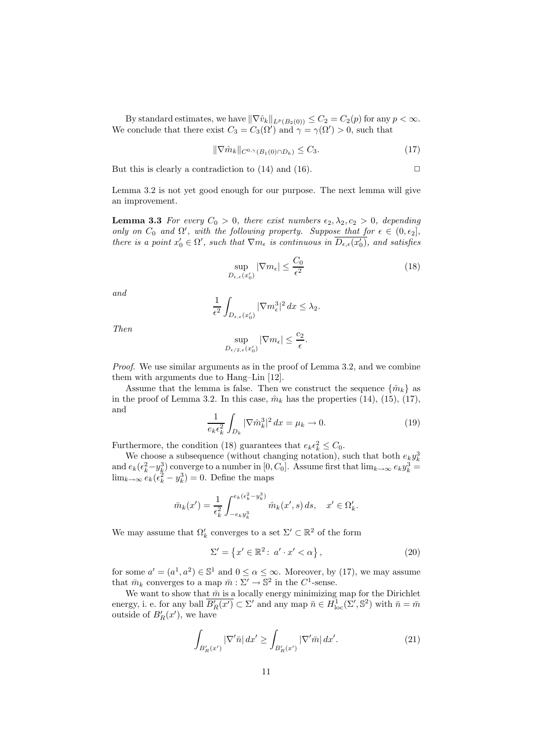By standard estimates, we have  $\|\nabla \hat{v}_k\|_{L^p(B_2(0))} \leq C_2 = C_2(p)$  for any  $p < \infty$ . We conclude that there exist  $C_3 = C_3(\Omega')$  and  $\gamma = \gamma(\Omega') > 0$ , such that

$$
\|\nabla \hat{m}_k\|_{C^{0,\gamma}(B_1(0)\cap D_k)} \le C_3. \tag{17}
$$

But this is clearly a contradiction to  $(14)$  and  $(16)$ .

Lemma 3.2 is not yet good enough for our purpose. The next lemma will give an improvement.

**Lemma 3.3** *For every*  $C_0 > 0$ *, there exist numbers*  $\epsilon_2, \lambda_2, c_2 > 0$ *, depending only on*  $C_0$  *and*  $\Omega'$ *, with the following property. Suppose that for*  $\epsilon \in (0, \epsilon_2]$ *, there is a point*  $x'_0 \in \Omega'$ , such that  $\nabla m_{\epsilon}$  is continuous in  $\overline{D_{\epsilon,\epsilon}(x'_0)}$ , and satisfies

$$
\sup_{D_{\epsilon,\epsilon}(x'_0)} |\nabla m_{\epsilon}| \le \frac{C_0}{\epsilon^2} \tag{18}
$$

*and*

$$
\frac{1}{\epsilon^2} \int_{D_{\epsilon,\epsilon}(x_0')} |\nabla m_{\epsilon}^3|^2 \, dx \le \lambda_2.
$$

*Then*

$$
\sup_{D_{\epsilon/2,\epsilon}(x'_0)} |\nabla m_{\epsilon}| \le \frac{c_2}{\epsilon}.
$$

*Proof.* We use similar arguments as in the proof of Lemma 3.2, and we combine them with arguments due to Hang–Lin [12].

Assume that the lemma is false. Then we construct the sequence  $\{\hat{m}_k\}$  as in the proof of Lemma 3.2. In this case,  $\hat{m}_k$  has the properties (14), (15), (17), and

$$
\frac{1}{e_k \epsilon_k^2} \int_{D_k} |\nabla \hat{m}_k^3|^2 dx = \mu_k \to 0. \tag{19}
$$

Furthermore, the condition (18) guarantees that  $e_k \epsilon_k^2 \leq C_0$ .

We choose a subsequence (without changing notation), such that both  $e_k y_k^3$ and  $e_k(\epsilon_k^2-y_k^3)$  converge to a number in [0, C<sub>0</sub>]. Assume first that  $\lim_{k\to\infty}e_ky_k^3=$  $\lim_{k\to\infty}e_k(\epsilon_k^2-y_k^3)=0.$  Define the maps

$$
\bar{m}_k(x') = \frac{1}{\epsilon_k^2} \int_{-e_k y_k^3}^{e_k(\epsilon_k^2 - y_k^3)} \hat{m}_k(x', s) \, ds, \quad x' \in \Omega'_k.
$$

We may assume that  $\Omega'_k$  converges to a set  $\Sigma' \subset \mathbb{R}^2$  of the form

$$
\Sigma' = \left\{ x' \in \mathbb{R}^2 \colon a' \cdot x' < \alpha \right\},\tag{20}
$$

for some  $a' = (a^1, a^2) \in \mathbb{S}^1$  and  $0 \le \alpha \le \infty$ . Moreover, by (17), we may assume that  $\bar{m}_k$  converges to a map  $\bar{m} : \Sigma' \to \mathbb{S}^2$  in the  $C^1$ -sense.

We want to show that  $\bar{m}$  is a locally energy minimizing map for the Dirichlet energy, i. e. for any ball  $\overline{B_R'(x')} \subset \Sigma'$  and any map  $\overline{n} \in H^1_{loc}(\Sigma', \mathbb{S}^2)$  with  $\overline{n} = \overline{m}$ outside of  $B_R'(x')$ , we have

$$
\int_{B_R'(x')} |\nabla' \bar{n}| \, dx' \ge \int_{B_R'(x')} |\nabla' \bar{m}| \, dx'.\tag{21}
$$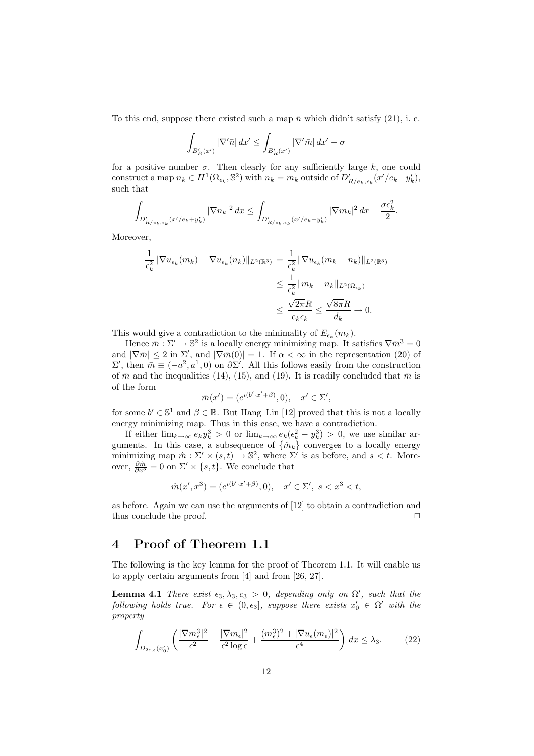To this end, suppose there existed such a map  $\bar{n}$  which didn't satisfy (21), i. e.

$$
\int_{B_R'(x')}\left|\nabla'\bar n\right|dx'\leq\int_{B_R'(x')}\left|\nabla'\bar m\right|dx'-\sigma
$$

for a positive number  $\sigma$ . Then clearly for any sufficiently large k, one could construct a map  $n_k \in H^1(\Omega_{\epsilon_k}, \mathbb{S}^2)$  with  $n_k = m_k$  outside of  $D'_{R/e_k, \epsilon_k}(x' / e_k + y'_k)$ , such that

$$
\int_{D'_{R/e_k,\epsilon_k}(x'/e_k+y'_k)} |\nabla n_k|^2 dx \le \int_{D'_{R/e_k,\epsilon_k}(x'/e_k+y'_k)} |\nabla m_k|^2 dx - \frac{\sigma \epsilon_k^2}{2}.
$$

Moreover,

$$
\frac{1}{\epsilon_k^2} \|\nabla u_{\epsilon_k}(m_k) - \nabla u_{\epsilon_k}(n_k)\|_{L^2(\mathbb{R}^3)} = \frac{1}{\epsilon_k^2} \|\nabla u_{\epsilon_k}(m_k - n_k)\|_{L^2(\mathbb{R}^3)}
$$
\n
$$
\leq \frac{1}{\epsilon_k^2} \|m_k - n_k\|_{L^2(\Omega_{\epsilon_k})}
$$
\n
$$
\leq \frac{\sqrt{2\pi}R}{e_k \epsilon_k} \leq \frac{\sqrt{8\pi}R}{d_k} \to 0.
$$

This would give a contradiction to the minimality of  $E_{\epsilon_k}(m_k)$ .

Hence  $\bar{m}: \Sigma' \to \mathbb{S}^2$  is a locally energy minimizing map. It satisfies  $\nabla \bar{m}^3 = 0$ and  $|\nabla \bar{m}| \leq 2$  in  $\Sigma'$ , and  $|\nabla \bar{m}(0)| = 1$ . If  $\alpha < \infty$  in the representation (20) of  $Σ'$ , then  $\bar{m} \equiv (-a^2, a^1, 0)$  on  $\partial Σ'$ . All this follows easily from the construction of  $\bar{m}$  and the inequalities (14), (15), and (19). It is readily concluded that  $\bar{m}$  is of the form

$$
\bar{m}(x') = (e^{i(b'\cdot x'+\beta)}, 0), \quad x' \in \Sigma',
$$

for some  $b' \in \mathbb{S}^1$  and  $\beta \in \mathbb{R}$ . But Hang–Lin [12] proved that this is not a locally energy minimizing map. Thus in this case, we have a contradiction.

If either  $\lim_{k\to\infty}e_ky_k^3>0$  or  $\lim_{k\to\infty}e_k(\epsilon_k^2-y_k^3)>0$ , we use similar arguments. In this case, a subsequence of  $\{\hat{m}_k\}$  converges to a locally energy minimizing map  $\hat{m} : \Sigma' \times (s, t) \to \mathbb{S}^2$ , where  $\Sigma'$  is as before, and  $s < t$ . Moreover,  $\frac{\partial \hat{m}}{\partial x^3} = 0$  on  $\Sigma' \times \{s, t\}$ . We conclude that

$$
\hat{m}(x', x^3) = (e^{i(b' \cdot x' + \beta)}, 0), \quad x' \in \Sigma', \ s < x^3 < t,
$$

as before. Again we can use the arguments of [12] to obtain a contradiction and thus conclude the proof.  $\Box$ 

#### **4 Proof of Theorem 1.1**

The following is the key lemma for the proof of Theorem 1.1. It will enable us to apply certain arguments from [4] and from [26, 27].

**Lemma 4.1** *There exist*  $\epsilon_3, \lambda_3, c_3 > 0$ , depending only on  $\Omega'$ , such that the *following holds true. For*  $\epsilon \in (0, \epsilon_3]$ , *suppose there exists*  $x'_0 \in \Omega'$  *with the property*

$$
\int_{D_{2\epsilon,\epsilon}(x'_0)} \left( \frac{|\nabla m_{\epsilon}^3|^2}{\epsilon^2} - \frac{|\nabla m_{\epsilon}|^2}{\epsilon^2 \log \epsilon} + \frac{(m_{\epsilon}^3)^2 + |\nabla u_{\epsilon}(m_{\epsilon})|^2}{\epsilon^4} \right) dx \le \lambda_3.
$$
 (22)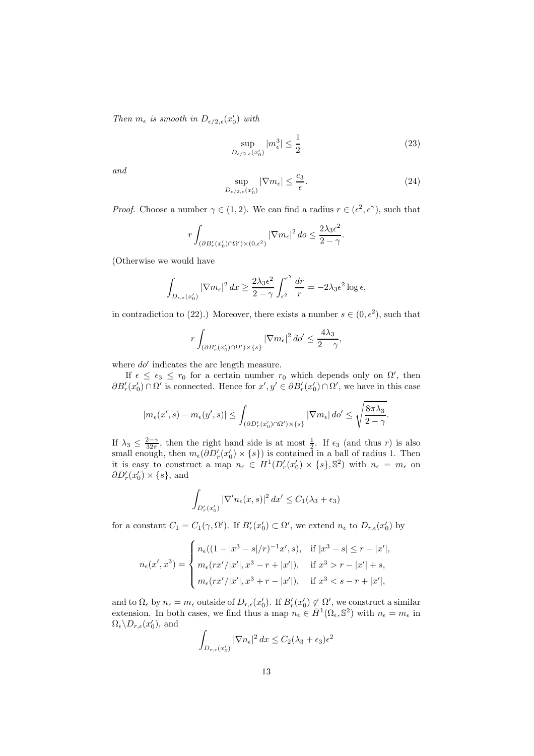*Then*  $m_{\epsilon}$  *is smooth in*  $D_{\epsilon/2,\epsilon}(x_0')$  *with* 

$$
\sup_{D_{\epsilon/2,\epsilon}(x'_0)} |m_{\epsilon}^3| \le \frac{1}{2} \tag{23}
$$

*and*

$$
\sup_{D_{\epsilon/2,\epsilon}(x_0')} |\nabla m_{\epsilon}| \le \frac{c_3}{\epsilon}.\tag{24}
$$

*Proof.* Choose a number  $\gamma \in (1, 2)$ . We can find a radius  $r \in (\epsilon^2, \epsilon^{\gamma})$ , such that

$$
r \int_{(\partial B'_r(x'_0) \cap \Omega') \times (0,\epsilon^2)} |\nabla m_{\epsilon}|^2 \, do \le \frac{2\lambda_3 \epsilon^2}{2 - \gamma}.
$$

(Otherwise we would have

$$
\int_{D_{\epsilon,\epsilon}(x'_0)} |\nabla m_{\epsilon}|^2 dx \ge \frac{2\lambda_3 \epsilon^2}{2-\gamma} \int_{\epsilon^2}^{\epsilon^{\gamma}} \frac{dr}{r} = -2\lambda_3 \epsilon^2 \log \epsilon,
$$

in contradiction to (22).) Moreover, there exists a number  $s \in (0, \epsilon^2)$ , such that

$$
r \int_{(\partial B_r'(x_0') \cap \Omega') \times \{s\}} |\nabla m_{\epsilon}|^2 \, d\sigma' \le \frac{4\lambda_3}{2 - \gamma},
$$

where  $d\phi'$  indicates the arc length measure.

If  $\epsilon \leq \epsilon_3 \leq r_0$  for a certain number  $r_0$  which depends only on  $\Omega'$ , then  $\partial B'_r(x'_0) \cap \Omega'$  is connected. Hence for  $x', y' \in \partial B'_r(x'_0) \cap \Omega'$ , we have in this case

$$
|m_{\epsilon}(x',s)-m_{\epsilon}(y',s)| \leq \int_{(\partial D_r'(x_0') \cap \Omega') \times \{s\}} |\nabla m_{\epsilon}| \, d o' \leq \sqrt{\frac{8 \pi \lambda_3}{2 - \gamma}}.
$$

If  $\lambda_3 \leq \frac{2-\gamma}{32\pi}$ , then the right hand side is at most  $\frac{1}{2}$ . If  $\epsilon_3$  (and thus r) is also small enough, then  $m_{\epsilon}(\partial D'_r(x'_0) \times \{s\})$  is contained in a ball of radius 1. Then it is easy to construct a map  $n_{\epsilon} \in H^1(D'_r(x'_0) \times \{s\}, \mathbb{S}^2)$  with  $n_{\epsilon} = m_{\epsilon}$  on  $\partial D'_r(x'_0) \times \{s\}$ , and

$$
\int_{D'_r(x'_0)} |\nabla' n_{\epsilon}(x,s)|^2 dx' \le C_1(\lambda_3 + \epsilon_3)
$$

for a constant  $C_1 = C_1(\gamma, \Omega')$ . If  $B'_r(x'_0) \subset \Omega'$ , we extend  $n_{\epsilon}$  to  $D_{r,\epsilon}(x'_0)$  by

$$
n_{\epsilon}(x',x^3) = \begin{cases} n_{\epsilon}((1-|x^3-s|/r)^{-1}x',s), & \text{if } |x^3-s| \le r-|x'|, \\ m_{\epsilon}(rx'/|x'|,x^3-r+|x'|), & \text{if } x^3 > r-|x'|+s, \\ m_{\epsilon}(rx'/|x'|,x^3+r-|x'|), & \text{if } x^3 < s-r+|x'|, \end{cases}
$$

and to  $\Omega_{\epsilon}$  by  $n_{\epsilon} = m_{\epsilon}$  outside of  $D_{r,\epsilon}(x_0')$ . If  $B'_r(x_0') \not\subset \Omega'$ , we construct a similar extension. In both cases, we find thus a map  $n_{\epsilon} \in \overline{H}^1(\Omega_{\epsilon}, \mathbb{S}^2)$  with  $n_{\epsilon} = m_{\epsilon}$  in  $\Omega_{\epsilon} \backslash D_{r,\epsilon}(x'_0)$ , and

$$
\int_{D_{r,\epsilon}(x'_0)} |\nabla n_{\epsilon}|^2 dx \le C_2 (\lambda_3 + \epsilon_3) \epsilon^2
$$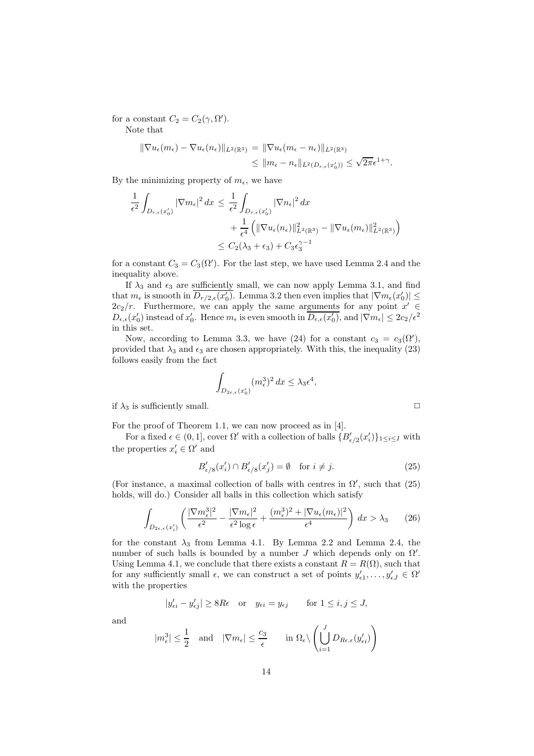for a constant  $C_2 = C_2(\gamma, \Omega').$ 

Note that

$$
\|\nabla u_{\epsilon}(m_{\epsilon}) - \nabla u_{\epsilon}(n_{\epsilon})\|_{L^{2}(\mathbb{R}^{3})} = \|\nabla u_{\epsilon}(m_{\epsilon} - n_{\epsilon})\|_{L^{2}(\mathbb{R}^{3})}
$$
  

$$
\leq \|m_{\epsilon} - n_{\epsilon}\|_{L^{2}(D_{r,\epsilon}(x_{0}'))} \leq \sqrt{2\pi}\epsilon^{1+\gamma}.
$$

By the minimizing property of  $m_{\epsilon}$ , we have

$$
\frac{1}{\epsilon^2} \int_{D_{r,\epsilon}(x'_0)} |\nabla m_{\epsilon}|^2 dx \le \frac{1}{\epsilon^2} \int_{D_{r,\epsilon}(x'_0)} |\nabla n_{\epsilon}|^2 dx \n+ \frac{1}{\epsilon^4} \left( \|\nabla u_{\epsilon}(n_{\epsilon})\|_{L^2(\mathbb{R}^3)}^2 - \|\nabla u_{\epsilon}(m_{\epsilon})\|_{L^2(\mathbb{R}^3)}^2 \right) \n\le C_2(\lambda_3 + \epsilon_3) + C_3 \epsilon_3^{\gamma - 1}
$$

for a constant  $C_3 = C_3(\Omega')$ . For the last step, we have used Lemma 2.4 and the inequality above.

If  $\lambda_3$  and  $\epsilon_3$  are sufficiently small, we can now apply Lemma 3.1, and find that  $m_{\epsilon}$  is smooth in  $\overline{D_{r/2,\epsilon}(x_0')}$ . Lemma 3.2 then even implies that  $|\nabla m_{\epsilon}(x_0')| \leq$  $2c_2/r$ . Furthermore, we can apply the same arguments for any point  $x' \in$  $D_{\epsilon,\epsilon}(x_0')$  instead of  $x_0'$ . Hence  $m_{\epsilon}$  is even smooth in  $\overline{D_{\epsilon,\epsilon}(x_0')}$ , and  $|\nabla m_{\epsilon}| \leq 2c_2/\epsilon^2$ in this set.

Now, according to Lemma 3.3, we have (24) for a constant  $c_3 = c_3(\Omega')$ , provided that  $\lambda_3$  and  $\epsilon_3$  are chosen appropriately. With this, the inequality (23) follows easily from the fact

$$
\int_{D_{2\epsilon,\epsilon}(x'_0)} (m_{\epsilon}^3)^2 dx \le \lambda_3 \epsilon^4,
$$

if  $\lambda_3$  is sufficiently small.

For the proof of Theorem 1.1, we can now proceed as in [4].

For a fixed  $\epsilon \in (0,1]$ , cover  $\Omega'$  with a collection of balls  $\{B'_{\epsilon/2}(x'_i)\}_{1 \leq i \leq I}$  with the properties  $x_i' \in \Omega'$  and

$$
B'_{\epsilon/8}(x'_i) \cap B'_{\epsilon/8}(x'_j) = \emptyset \quad \text{for } i \neq j.
$$
 (25)

(For instance, a maximal collection of balls with centres in  $\Omega'$ , such that (25) holds, will do.) Consider all balls in this collection which satisfy

$$
\int_{D_{2\epsilon,\epsilon}(x_i')} \left( \frac{|\nabla m_{\epsilon}^3|^2}{\epsilon^2} - \frac{|\nabla m_{\epsilon}|^2}{\epsilon^2 \log \epsilon} + \frac{(m_{\epsilon}^3)^2 + |\nabla u_{\epsilon}(m_{\epsilon})|^2}{\epsilon^4} \right) dx > \lambda_3 \tag{26}
$$

for the constant  $\lambda_3$  from Lemma 4.1. By Lemma 2.2 and Lemma 2.4, the number of such balls is bounded by a number  $J$  which depends only on  $\Omega'$ . Using Lemma 4.1, we conclude that there exists a constant  $R = R(\Omega)$ , such that for any sufficiently small  $\epsilon$ , we can construct a set of points  $y'_{\epsilon 1}, \ldots, y'_{\epsilon J} \in \Omega'$ with the properties

$$
|y'_{\epsilon i} - y'_{\epsilon j}| \ge 8R\epsilon \quad \text{or} \quad y_{\epsilon i} = y_{\epsilon j} \qquad \text{for } 1 \le i, j \le J,
$$

and

$$
|m^3_{\epsilon}| \leq \frac{1}{2} \quad \text{and} \quad |\nabla m_{\epsilon}| \leq \frac{c_3}{\epsilon} \qquad \text{in } \Omega_{\epsilon} \backslash \left( \bigcup_{i=1}^{J} D_{R\epsilon,\epsilon}(y'_{\epsilon i}) \right)
$$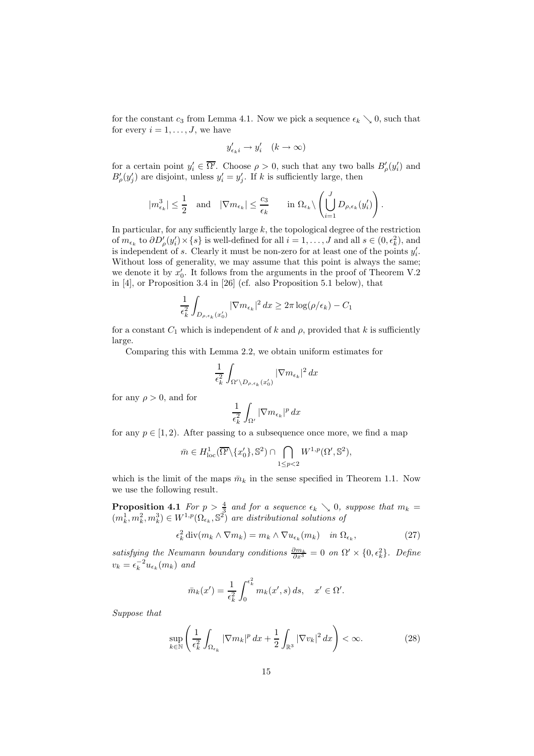for the constant  $c_3$  from Lemma 4.1. Now we pick a sequence  $\epsilon_k \searrow 0$ , such that for every  $i = 1, \ldots, J$ , we have

$$
y'_{\epsilon_k i} \to y'_i \quad (k \to \infty)
$$

for a certain point  $y'_i \in \overline{\Omega'}$ . Choose  $\rho > 0$ , such that any two balls  $B'_\rho(y'_i)$  and  $B'_{o}(y'_{i})$  are disjoint, unless  $y'_{i} = y'_{i}$ . If k is sufficiently large, then

$$
|m_{\epsilon_k}^3|\leq \frac{1}{2}\quad \text{and}\quad |\nabla m_{\epsilon_k}|\leq \frac{c_3}{\epsilon_k}\qquad \text{in }\Omega_{\epsilon_k}\backslash \left(\bigcup_{i=1}^J D_{\rho,\epsilon_k}(y'_i)\right).
$$

In particular, for any sufficiently large  $k$ , the topological degree of the restriction of  $m_{\epsilon_k}$  to  $\partial D'_\rho(y'_i) \times \{s\}$  is well-defined for all  $i = 1, \ldots, J$  and all  $s \in (0, \epsilon_k^2)$ , and is independent of s. Clearly it must be non-zero for at least one of the points  $y_i'$ . Without loss of generality, we may assume that this point is always the same; we denote it by  $x'_0$ . It follows from the arguments in the proof of Theorem V.2 in [4], or Proposition 3.4 in [26] (cf. also Proposition 5.1 below), that

$$
\frac{1}{\epsilon_k^2} \int_{D_{\rho,\epsilon_k}(x_0')}\left|\nabla m_{\epsilon_k}\right|^2 dx \ge 2\pi \log(\rho/\epsilon_k) - C_1
$$

for a constant  $C_1$  which is independent of k and  $\rho$ , provided that k is sufficiently large.

Comparing this with Lemma 2.2, we obtain uniform estimates for

$$
\frac{1}{\epsilon_k^2} \int_{\Omega' \backslash D_{\rho,\epsilon_k}(x_0')} |\nabla m_{\epsilon_k}|^2 \, dx
$$

for any  $\rho > 0$ , and for

$$
\frac{1}{\epsilon_k^2}\int_{\Omega'} |\nabla m_{\epsilon_k}|^p\,dx
$$

for any  $p \in [1, 2)$ . After passing to a subsequence once more, we find a map

$$
\bar{m} \in H^1_{\text{loc}}(\overline{\Omega'}\backslash\{x'_0\}, \mathbb{S}^2) \cap \bigcap_{1 \le p < 2} W^{1,p}(\Omega', \mathbb{S}^2),
$$

which is the limit of the maps  $\bar{m}_k$  in the sense specified in Theorem 1.1. Now we use the following result.

**Proposition 4.1** *For*  $p > \frac{4}{3}$  *and for a sequence*  $\epsilon_k \searrow 0$ *, suppose that*  $m_k =$  $(m_k^1, m_k^2, m_b^3) \in W^{1,p}(\Omega_{\epsilon_k}, \mathbb{S}^2)$  are distributional solutions of

$$
\epsilon_k^2 \operatorname{div}(m_k \wedge \nabla m_k) = m_k \wedge \nabla u_{\epsilon_k}(m_k) \quad \text{in } \Omega_{\epsilon_k},\tag{27}
$$

*satisfying the Neumann boundary conditions*  $\frac{\partial m_k}{\partial x^3} = 0$  *on*  $\Omega' \times \{0, \epsilon_k^2\}$ . Define  $v_k = \epsilon_k^{-2} u_{\epsilon_k}(m_k)$  and

$$
\bar{m}_k(x') = \frac{1}{\epsilon_k^2} \int_0^{\epsilon_k^2} m_k(x',s) ds, \quad x' \in \Omega'.
$$

*Suppose that*

$$
\sup_{k \in \mathbb{N}} \left( \frac{1}{\epsilon_k^2} \int_{\Omega_{\epsilon_k}} |\nabla m_k|^p \, dx + \frac{1}{2} \int_{\mathbb{R}^3} |\nabla v_k|^2 \, dx \right) < \infty. \tag{28}
$$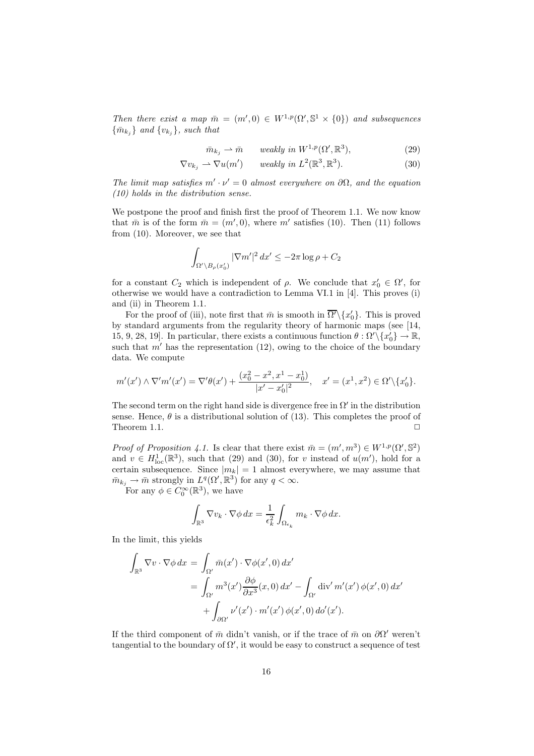*Then there exist a map*  $\overline{m} = (m', 0) \in W^{1,p}(\Omega', \mathbb{S}^1 \times \{0\})$  *and subsequences*  $\{\bar{m}_{k_i}\}\$ and  $\{v_{k_i}\}\$ *, such that* 

$$
\bar{m}_{k_j} \rightharpoonup \bar{m} \qquad weakly \ in \ W^{1,p}(\Omega', \mathbb{R}^3), \tag{29}
$$

$$
\nabla v_{k_j} \rightharpoonup \nabla u(m') \qquad weakly \ in \ L^2(\mathbb{R}^3, \mathbb{R}^3). \tag{30}
$$

The limit map satisfies  $m' \cdot \nu' = 0$  almost everywhere on  $\partial \Omega$ , and the equation *(10) holds in the distribution sense.*

We postpone the proof and finish first the proof of Theorem 1.1. We now know that  $\bar{m}$  is of the form  $\bar{m} = (m', 0)$ , where m' satisfies (10). Then (11) follows from (10). Moreover, we see that

$$
\int_{\Omega' \setminus B_{\rho}(x'_0)} |\nabla m'|^2 dx' \le -2\pi \log \rho + C_2
$$

for a constant  $C_2$  which is independent of  $\rho$ . We conclude that  $x'_0 \in \Omega'$ , for otherwise we would have a contradiction to Lemma VI.1 in [4]. This proves (i) and (ii) in Theorem 1.1.

For the proof of (iii), note first that  $\bar{m}$  is smooth in  $\overline{\Omega'}\setminus\{x_0'\}$ . This is proved by standard arguments from the regularity theory of harmonic maps (see [14, 15, 9, 28, 19]. In particular, there exists a continuous function  $\theta : \Omega' \setminus \{x_0'\} \to \mathbb{R}$ , such that  $m'$  has the representation (12), owing to the choice of the boundary data. We compute

$$
m'(x') \wedge \nabla'm'(x') = \nabla'\theta(x') + \frac{(x_0^2 - x^2, x^1 - x_0^1)}{|x' - x_0'|^2}, \quad x' = (x^1, x^2) \in \Omega' \setminus \{x_0'\}.
$$

The second term on the right hand side is divergence free in  $\Omega'$  in the distribution sense. Hence,  $\theta$  is a distributional solution of (13). This completes the proof of Theorem 1.1.  $\Box$ 

*Proof of Proposition 4.1.* Is clear that there exist  $\bar{m} = (m', m^3) \in W^{1,p}(\Omega', \mathbb{S}^2)$ and  $v \in H^1_{loc}(\mathbb{R}^3)$ , such that (29) and (30), for v instead of  $u(m')$ , hold for a certain subsequence. Since  $|m_k| = 1$  almost everywhere, we may assume that  $\bar{m}_{k_j} \to \bar{m}$  strongly in  $L^q(\Omega', \mathbb{R}^3)$  for any  $q < \infty$ .

For any  $\phi \in C_0^{\infty}(\mathbb{R}^3)$ , we have

$$
\int_{\mathbb{R}^3} \nabla v_k \cdot \nabla \phi \, dx = \frac{1}{\epsilon_k^2} \int_{\Omega_{\epsilon_k}} m_k \cdot \nabla \phi \, dx.
$$

In the limit, this yields

$$
\int_{\mathbb{R}^3} \nabla v \cdot \nabla \phi \, dx = \int_{\Omega'} \bar{m}(x') \cdot \nabla \phi(x', 0) \, dx'
$$
  
= 
$$
\int_{\Omega'} m^3(x') \frac{\partial \phi}{\partial x^3}(x, 0) \, dx' - \int_{\Omega'} \text{div}' \, m'(x') \, \phi(x', 0) \, dx'
$$
  
+ 
$$
\int_{\partial \Omega'} \nu'(x') \cdot m'(x') \, \phi(x', 0) \, d\phi'(x').
$$

If the third component of  $\bar{m}$  didn't vanish, or if the trace of  $\bar{m}$  on  $\partial\Omega'$  weren't tangential to the boundary of  $\Omega'$ , it would be easy to construct a sequence of test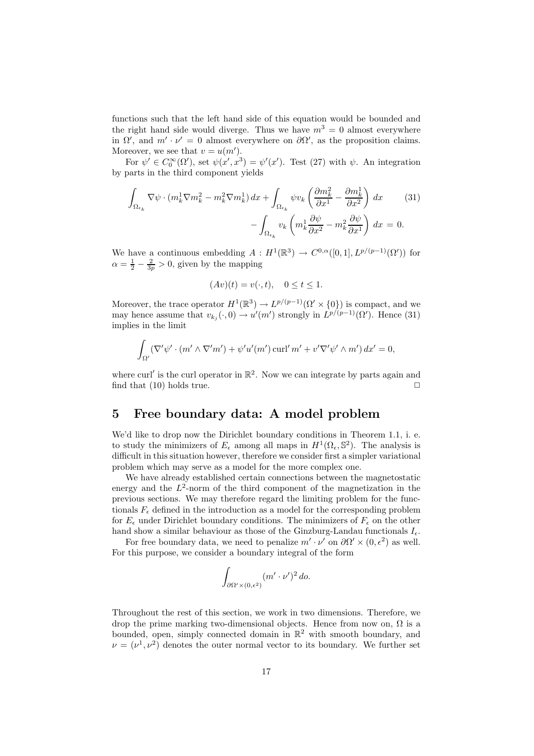functions such that the left hand side of this equation would be bounded and the right hand side would diverge. Thus we have  $m^3 = 0$  almost everywhere in  $\Omega'$ , and  $m' \cdot \nu' = 0$  almost everywhere on  $\partial \Omega'$ , as the proposition claims. Moreover, we see that  $v = u(m')$ .

For  $\psi' \in C_0^{\infty}(\Omega')$ , set  $\psi(x', x^3) = \psi'(x')$ . Test (27) with  $\psi$ . An integration by parts in the third component yields

$$
\int_{\Omega_{\epsilon_k}} \nabla \psi \cdot (m_k^1 \nabla m_k^2 - m_k^2 \nabla m_k^1) dx + \int_{\Omega_{\epsilon_k}} \psi v_k \left( \frac{\partial m_k^2}{\partial x^1} - \frac{\partial m_k^1}{\partial x^2} \right) dx \qquad (31)
$$

$$
- \int_{\Omega_{\epsilon_k}} v_k \left( m_k^1 \frac{\partial \psi}{\partial x^2} - m_k^2 \frac{\partial \psi}{\partial x^1} \right) dx = 0.
$$

We have a continuous embedding  $A: H^1(\mathbb{R}^3) \to C^{0,\alpha}([0,1], L^{p/(p-1)}(\Omega'))$  for  $\alpha = \frac{1}{2} - \frac{2}{3p} > 0$ , given by the mapping

$$
(Av)(t) = v(\cdot, t), \quad 0 \le t \le 1.
$$

Moreover, the trace operator  $H^1(\mathbb{R}^3) \to L^{p/(p-1)}(\Omega' \times \{0\})$  is compact, and we may hence assume that  $v_{k_j}(\cdot,0) \to u'(m')$  strongly in  $L^{p/(p-1)}(\Omega')$ . Hence (31) implies in the limit

$$
\int_{\Omega'} (\nabla' \psi' \cdot (m' \wedge \nabla'm') + \psi'u'(m') \operatorname{curl}' m' + v' \nabla' \psi' \wedge m') \, dx' = 0,
$$

where curl' is the curl operator in  $\mathbb{R}^2$ . Now we can integrate by parts again and find that  $(10)$  holds true.

### **5 Free boundary data: A model problem**

We'd like to drop now the Dirichlet boundary conditions in Theorem 1.1, i. e. to study the minimizers of  $E_{\epsilon}$  among all maps in  $H^{1}(\Omega_{\epsilon}, \mathbb{S}^{2})$ . The analysis is difficult in this situation however, therefore we consider first a simpler variational problem which may serve as a model for the more complex one.

We have already established certain connections between the magnetostatic energy and the  $L^2$ -norm of the third component of the magnetization in the previous sections. We may therefore regard the limiting problem for the functionals  $F_{\epsilon}$  defined in the introduction as a model for the corresponding problem for  $E_{\epsilon}$  under Dirichlet boundary conditions. The minimizers of  $F_{\epsilon}$  on the other hand show a similar behaviour as those of the Ginzburg-Landau functionals  $I_{\epsilon}$ .

For free boundary data, we need to penalize  $m' \cdot \nu'$  on  $\partial \Omega' \times (0, \epsilon^2)$  as well. For this purpose, we consider a boundary integral of the form

$$
\int_{\partial\Omega'\times(0,\epsilon^2)} (m'\cdot\nu')^2\,d\sigma.
$$

Throughout the rest of this section, we work in two dimensions. Therefore, we drop the prime marking two-dimensional objects. Hence from now on,  $\Omega$  is a bounded, open, simply connected domain in  $\mathbb{R}^2$  with smooth boundary, and  $\nu = (\nu^1, \nu^2)$  denotes the outer normal vector to its boundary. We further set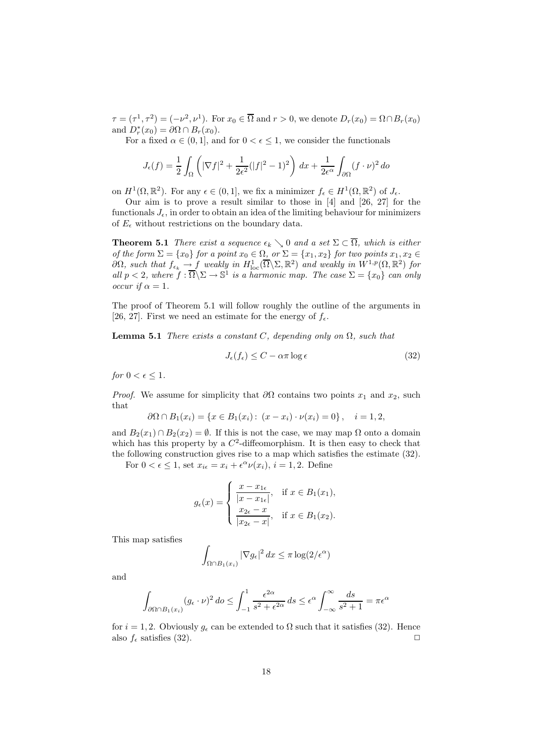$\tau = (\tau^1, \tau^2) = (-\nu^2, \nu^1)$ . For  $x_0 \in \overline{\Omega}$  and  $r > 0$ , we denote  $D_r(x_0) = \Omega \cap B_r(x_0)$ and  $D_r^*(x_0) = \partial \Omega \cap B_r(x_0)$ .

For a fixed  $\alpha \in (0,1]$ , and for  $0 < \epsilon \leq 1$ , we consider the functionals

$$
J_{\epsilon}(f) = \frac{1}{2} \int_{\Omega} \left( |\nabla f|^2 + \frac{1}{2\epsilon^2} (|f|^2 - 1)^2 \right) dx + \frac{1}{2\epsilon^{\alpha}} \int_{\partial\Omega} (f \cdot \nu)^2 d\sigma
$$

on  $H^1(\Omega,\mathbb{R}^2)$ . For any  $\epsilon \in (0,1]$ , we fix a minimizer  $f_{\epsilon} \in H^1(\Omega,\mathbb{R}^2)$  of  $J_{\epsilon}$ .

Our aim is to prove a result similar to those in [4] and [26, 27] for the functionals  $J_{\epsilon}$ , in order to obtain an idea of the limiting behaviour for minimizers of  $E_{\epsilon}$  without restrictions on the boundary data.

**Theorem 5.1** *There exist a sequence*  $\epsilon_k \setminus 0$  *and a set*  $\Sigma \subset \overline{\Omega}$ *, which is either of the form*  $\Sigma = \{x_0\}$  *for a point*  $x_0 \in \Omega$ *, or*  $\Sigma = \{x_1, x_2\}$  *for two points*  $x_1, x_2 \in$  $\partial\Omega$ *, such that*  $f_{\epsilon_k} \to f$  *weakly in*  $H^1_{\text{loc}}(\overline{\Omega}\backslash \Sigma, \mathbb{R}^2)$  *and weakly in*  $W^{1,p}(\Omega, \mathbb{R}^2)$  *for all*  $p < 2$ *, where*  $f : \overline{\Omega} \backslash \Sigma \to \mathbb{S}^1$  *is a harmonic map. The case*  $\Sigma = \{x_0\}$  *can only occur if*  $\alpha = 1$ *.* 

The proof of Theorem 5.1 will follow roughly the outline of the arguments in [26, 27]. First we need an estimate for the energy of  $f_{\epsilon}$ .

**Lemma 5.1** *There exists a constant*  $C$ *, depending only on*  $\Omega$ *, such that* 

$$
J_{\epsilon}(f_{\epsilon}) \le C - \alpha \pi \log \epsilon \tag{32}
$$

*for*  $0 < \epsilon \leq 1$ *.* 

*Proof.* We assume for simplicity that  $\partial\Omega$  contains two points  $x_1$  and  $x_2$ , such that

$$
\partial\Omega \cap B_1(x_i) = \{x \in B_1(x_i): (x - x_i) \cdot \nu(x_i) = 0\}, \quad i = 1, 2,
$$

and  $B_2(x_1) \cap B_2(x_2) = \emptyset$ . If this is not the case, we may map  $\Omega$  onto a domain which has this property by a  $C^2$ -diffeomorphism. It is then easy to check that the following construction gives rise to a map which satisfies the estimate (32).

For  $0 < \epsilon \leq 1$ , set  $x_{i\epsilon} = x_i + \epsilon^{\alpha} \nu(x_i)$ ,  $i = 1, 2$ . Define

$$
g_{\epsilon}(x) = \begin{cases} \frac{x - x_{1\epsilon}}{|x - x_{1\epsilon}|}, & \text{if } x \in B_1(x_1), \\ \frac{x_{2\epsilon} - x}{|x_{2\epsilon} - x|}, & \text{if } x \in B_1(x_2). \end{cases}
$$

This map satisfies

$$
\int_{\Omega \cap B_1(x_i)} |\nabla g_{\epsilon}|^2 dx \le \pi \log(2/\epsilon^{\alpha})
$$

and

$$
\int_{\partial\Omega \cap B_1(x_i)} (g_{\epsilon} \cdot \nu)^2 \, d\sigma \le \int_{-1}^1 \frac{\epsilon^{2\alpha}}{s^2 + \epsilon^{2\alpha}} \, ds \le \epsilon^{\alpha} \int_{-\infty}^\infty \frac{ds}{s^2 + 1} = \pi \epsilon^{\alpha}
$$

for  $i = 1, 2$ . Obviously  $g_{\epsilon}$  can be extended to  $\Omega$  such that it satisfies (32). Hence also  $f_{\epsilon}$  satisfies (32).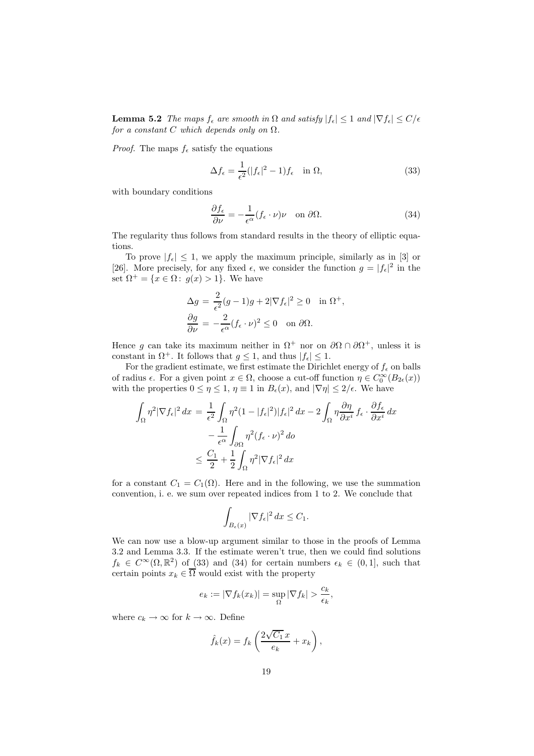**Lemma 5.2** *The maps*  $f_{\epsilon}$  *are smooth in*  $\Omega$  *and satisfy*  $|f_{\epsilon}| \leq 1$  *and*  $|\nabla f_{\epsilon}| \leq C/\epsilon$ *for a constant*  $C$  *which depends only on*  $\Omega$ *.* 

*Proof.* The maps  $f_{\epsilon}$  satisfy the equations

$$
\Delta f_{\epsilon} = \frac{1}{\epsilon^2} (|f_{\epsilon}|^2 - 1) f_{\epsilon} \quad \text{in } \Omega,
$$
\n(33)

with boundary conditions

$$
\frac{\partial f_{\epsilon}}{\partial \nu} = -\frac{1}{\epsilon^{\alpha}} (f_{\epsilon} \cdot \nu) \nu \quad \text{on } \partial \Omega.
$$
 (34)

The regularity thus follows from standard results in the theory of elliptic equations.

To prove  $|f_{\epsilon}| \leq 1$ , we apply the maximum principle, similarly as in [3] or [26]. More precisely, for any fixed  $\epsilon$ , we consider the function  $g = |f_{\epsilon}|^2$  in the set  $\Omega^+ = \{x \in \Omega : g(x) > 1\}$ . We have

$$
\Delta g = \frac{2}{\epsilon^2} (g - 1)g + 2|\nabla f_{\epsilon}|^2 \ge 0 \quad \text{in } \Omega^+,
$$
  

$$
\frac{\partial g}{\partial \nu} = -\frac{2}{\epsilon^{\alpha}} (f_{\epsilon} \cdot \nu)^2 \le 0 \quad \text{on } \partial \Omega.
$$

Hence g can take its maximum neither in  $\Omega^+$  nor on  $\partial\Omega \cap \partial\Omega^+$ , unless it is constant in  $\Omega^+$ . It follows that  $g \leq 1$ , and thus  $|f_{\epsilon}| \leq 1$ .

For the gradient estimate, we first estimate the Dirichlet energy of  $f_{\epsilon}$  on balls of radius  $\epsilon$ . For a given point  $x \in \Omega$ , choose a cut-off function  $\eta \in C_0^{\infty}(B_{2\epsilon}(x))$ with the properties  $0 \leq \eta \leq 1$ ,  $\eta \equiv 1$  in  $B_{\epsilon}(x)$ , and  $|\nabla \eta| \leq 2/\epsilon$ . We have

$$
\int_{\Omega} \eta^2 |\nabla f_{\epsilon}|^2 dx = \frac{1}{\epsilon^2} \int_{\Omega} \eta^2 (1 - |f_{\epsilon}|^2) |f_{\epsilon}|^2 dx - 2 \int_{\Omega} \eta \frac{\partial \eta}{\partial x^i} f_{\epsilon} \cdot \frac{\partial f_{\epsilon}}{\partial x^i} dx
$$

$$
- \frac{1}{\epsilon^{\alpha}} \int_{\partial \Omega} \eta^2 (f_{\epsilon} \cdot \nu)^2 d\sigma
$$

$$
\leq \frac{C_1}{2} + \frac{1}{2} \int_{\Omega} \eta^2 |\nabla f_{\epsilon}|^2 dx
$$

for a constant  $C_1 = C_1(\Omega)$ . Here and in the following, we use the summation convention, i. e. we sum over repeated indices from 1 to 2. We conclude that

$$
\int_{B_{\epsilon}(x)} |\nabla f_{\epsilon}|^2 dx \le C_1.
$$

We can now use a blow-up argument similar to those in the proofs of Lemma 3.2 and Lemma 3.3. If the estimate weren't true, then we could find solutions  $f_k \in C^{\infty}(\Omega, \mathbb{R}^2)$  of (33) and (34) for certain numbers  $\epsilon_k \in (0, 1]$ , such that certain points  $x_k \in \overline{\Omega}$  would exist with the property

$$
e_k := |\nabla f_k(x_k)| = \sup_{\Omega} |\nabla f_k| > \frac{c_k}{\epsilon_k},
$$

where  $c_k \to \infty$  for  $k \to \infty$ . Define

$$
\hat{f}_k(x) = f_k \left( \frac{2\sqrt{C_1} x}{e_k} + x_k \right),
$$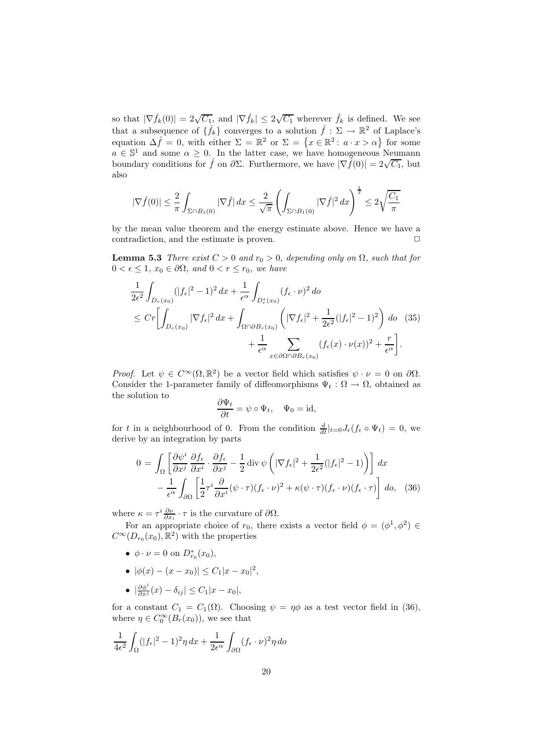so that  $|\nabla \hat{f}_k(0)| = 2\sqrt{C_1}$ , and  $|\nabla \hat{f}_k| \leq 2\sqrt{C_1}$  wherever  $\hat{f}_k$  is defined. We see that a subsequence of  $\{\hat{f}_k\}$  converges to a solution  $\hat{f} : \Sigma \to \mathbb{R}^2$  of Laplace's equation  $\Delta \hat{f} = 0$ , with either  $\Sigma = \mathbb{R}^2$  or  $\Sigma = \{x \in \mathbb{R}^2 : a \cdot x > \alpha\}$  for some  $a \in \mathbb{S}^1$  and some  $\alpha \geq 0$ . In the latter case, we have homogeneous Neumann boundary conditions for  $\hat{f}$  on  $\partial \Sigma$ . Furthermore, we have  $|\nabla \hat{f}(0)| = 2\sqrt{C_1}$ , but also

$$
|\nabla \hat{f}(0)| \leq \frac{2}{\pi} \int_{\Sigma \cap B_1(0)} |\nabla \hat{f}| \, dx \leq \frac{2}{\sqrt{\pi}} \left( \int_{\Sigma \cap B_1(0)} |\nabla \hat{f}|^2 \, dx \right)^{\frac{1}{2}} \leq 2\sqrt{\frac{C_1}{\pi}}
$$

by the mean value theorem and the energy estimate above. Hence we have a contradiction, and the estimate is proven.  $\Box$ 

**Lemma 5.3** *There exist*  $C > 0$  *and*  $r_0 > 0$ *, depending only on*  $\Omega$ *, such that for*  $0 < \epsilon \leq 1$ ,  $x_0 \in \partial \Omega$ , and  $0 < r \leq r_0$ , we have

$$
\frac{1}{2\epsilon^2} \int_{D_r(x_0)} (|f_{\epsilon}|^2 - 1)^2 dx + \frac{1}{\epsilon^{\alpha}} \int_{D_r^*(x_0)} (f_{\epsilon} \cdot \nu)^2 d\sigma
$$
\n
$$
\leq C r \left[ \int_{D_r(x_0)} |\nabla f_{\epsilon}|^2 dx + \int_{\Omega \cap \partial B_r(x_0)} \left( |\nabla f_{\epsilon}|^2 + \frac{1}{2\epsilon^2} (|f_{\epsilon}|^2 - 1)^2 \right) d\sigma \quad (35)
$$
\n
$$
+ \frac{1}{\epsilon^{\alpha}} \sum_{x \in \partial \Omega \cap \partial B_r(x_0)} (f_{\epsilon}(x) \cdot \nu(x))^2 + \frac{r}{\epsilon^{\alpha}} \right].
$$

*Proof.* Let  $\psi \in C^{\infty}(\Omega, \mathbb{R}^2)$  be a vector field which satisfies  $\psi \cdot \nu = 0$  on  $\partial \Omega$ . Consider the 1-parameter family of diffeomorphisms  $\Psi_t : \Omega \to \Omega$ , obtained as the solution to

$$
\frac{\partial \Psi_t}{\partial t} = \psi \circ \Psi_t, \quad \Psi_0 = \mathrm{id},
$$

for t in a neighbourhood of 0. From the condition  $\frac{d}{dt}|_{t=0} J_{\epsilon}(f_{\epsilon} \circ \Psi_t) = 0$ , we derive by an integration by parts

$$
0 = \int_{\Omega} \left[ \frac{\partial \psi^i}{\partial x^j} \frac{\partial f_{\epsilon}}{\partial x^i} \cdot \frac{\partial f_{\epsilon}}{\partial x^j} - \frac{1}{2} \operatorname{div} \psi \left( |\nabla f_{\epsilon}|^2 + \frac{1}{2\epsilon^2} (|f_{\epsilon}|^2 - 1) \right) \right] dx
$$

$$
- \frac{1}{\epsilon^{\alpha}} \int_{\partial \Omega} \left[ \frac{1}{2} \tau^i \frac{\partial}{\partial x^i} (\psi \cdot \tau) (f_{\epsilon} \cdot \nu)^2 + \kappa (\psi \cdot \tau) (f_{\epsilon} \cdot \nu) (f_{\epsilon} \cdot \tau) \right] d\sigma, \quad (36)
$$

where  $\kappa = \tau^i \frac{\partial \nu}{\partial x_i} \cdot \tau$  is the curvature of  $\partial \Omega$ .

For an appropriate choice of  $r_0$ , there exists a vector field  $\phi = (\phi^1, \phi^2) \in$  $C^{\infty}(D_{r_0}(x_0), \mathbb{R}^2)$  with the properties

- $\phi \cdot \nu = 0$  on  $D_{r_0}^*(x_0)$ ,
- $|\phi(x) (x x_0)| \leq C_1 |x x_0|^2$ ,
- $\left| \frac{\partial \phi^i}{\partial x^j}(x) \delta_{ij} \right| \leq C_1 |x x_0|,$

for a constant  $C_1 = C_1(\Omega)$ . Choosing  $\psi = \eta \phi$  as a test vector field in (36), where  $\eta \in C_0^{\infty}(B_r(x_0))$ , we see that

$$
\frac{1}{4\epsilon^2} \int_{\Omega} (|f_{\epsilon}|^2 - 1)^2 \eta \, dx + \frac{1}{2\epsilon^{\alpha}} \int_{\partial \Omega} (f_{\epsilon} \cdot \nu)^2 \eta \, d\sigma
$$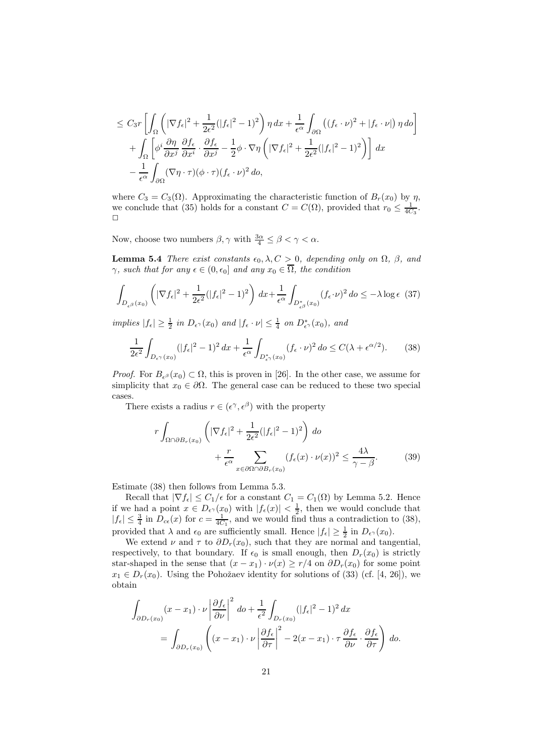$$
\leq C_3 r \left[ \int_{\Omega} \left( |\nabla f_{\epsilon}|^2 + \frac{1}{2\epsilon^2} (|f_{\epsilon}|^2 - 1)^2 \right) \eta \, dx + \frac{1}{\epsilon^{\alpha}} \int_{\partial \Omega} \left( (f_{\epsilon} \cdot \nu)^2 + |f_{\epsilon} \cdot \nu| \right) \eta \, d\sigma \right] + \int_{\Omega} \left[ \phi^i \frac{\partial \eta}{\partial x^j} \frac{\partial f_{\epsilon}}{\partial x^i} \cdot \frac{\partial f_{\epsilon}}{\partial x^j} - \frac{1}{2} \phi \cdot \nabla \eta \left( |\nabla f_{\epsilon}|^2 + \frac{1}{2\epsilon^2} (|f_{\epsilon}|^2 - 1)^2 \right) \right] dx - \frac{1}{\epsilon^{\alpha}} \int_{\partial \Omega} (\nabla \eta \cdot \tau) (\phi \cdot \tau) (f_{\epsilon} \cdot \nu)^2 \, d\sigma,
$$

where  $C_3 = C_3(\Omega)$ . Approximating the characteristic function of  $B_r(x_0)$  by  $\eta$ , we conclude that (35) holds for a constant  $C = C(\Omega)$ , provided that  $r_0 \leq \frac{1}{4C_3}$ .  $\Box$ 

Now, choose two numbers  $\beta, \gamma$  with  $\frac{3\alpha}{4} \leq \beta < \gamma < \alpha$ .

**Lemma 5.4** *There exist constants*  $\epsilon_0$ ,  $\lambda$ ,  $C > 0$ *, depending only on*  $\Omega$ *,*  $\beta$ *, and*  $\gamma$ *, such that for any*  $\epsilon \in (0, \epsilon_0]$  *and any*  $x_0 \in \overline{\Omega}$ *, the condition* 

$$
\int_{D_{\epsilon^{\beta}}(x_0)} \left( |\nabla f_{\epsilon}|^2 + \frac{1}{2\epsilon^2} (|f_{\epsilon}|^2 - 1)^2 \right) dx + \frac{1}{\epsilon^{\alpha}} \int_{D_{\epsilon^{\beta}}^*(x_0)} (f_{\epsilon} \cdot \nu)^2 d\sigma \le -\lambda \log \epsilon \tag{37}
$$

 $implies |f_{\epsilon}| \geq \frac{1}{2}$  *in*  $D_{\epsilon}(\alpha_0)$  *and*  $|f_{\epsilon} \cdot \nu| \leq \frac{1}{4}$  *on*  $D^*_{\epsilon}(\alpha_0)$ *, and* 

$$
\frac{1}{2\epsilon^2} \int_{D_{\epsilon}(\tau(x_0))} (|f_{\epsilon}|^2 - 1)^2 dx + \frac{1}{\epsilon^{\alpha}} \int_{D_{\epsilon}^*(x_0)} (f_{\epsilon} \cdot \nu)^2 d\sigma \le C(\lambda + \epsilon^{\alpha/2}). \tag{38}
$$

*Proof.* For  $B_{\epsilon,\theta}(x_0) \subset \Omega$ , this is proven in [26]. In the other case, we assume for simplicity that  $x_0 \in \partial \Omega$ . The general case can be reduced to these two special cases.

There exists a radius  $r \in (\epsilon^{\gamma}, \epsilon^{\beta})$  with the property

$$
r \int_{\Omega \cap \partial B_r(x_0)} \left( |\nabla f_{\epsilon}|^2 + \frac{1}{2\epsilon^2} (|f_{\epsilon}|^2 - 1)^2 \right) d\sigma + \frac{r}{\epsilon^{\alpha}} \sum_{x \in \partial \Omega \cap \partial B_r(x_0)} (f_{\epsilon}(x) \cdot \nu(x))^2 \le \frac{4\lambda}{\gamma - \beta}.
$$
 (39)

Estimate (38) then follows from Lemma 5.3.

Recall that  $|\nabla f_{\epsilon}| \leq C_1/\epsilon$  for a constant  $C_1 = C_1(\Omega)$  by Lemma 5.2. Hence if we had a point  $x \in D_{\epsilon}(\alpha_0)$  with  $|f_{\epsilon}(x)| < \frac{1}{2}$ , then we would conclude that  $|f_{\epsilon}| \leq \frac{3}{4}$  in  $D_{c\epsilon}(x)$  for  $c = \frac{1}{4C_1}$ , and we would find thus a contradiction to (38), provided that  $\lambda$  and  $\epsilon_0$  are sufficiently small. Hence  $|f_{\epsilon}| \geq \frac{1}{2}$  in  $D_{\epsilon}(\alpha_0)$ .

We extend  $\nu$  and  $\tau$  to  $\partial D_r(x_0)$ , such that they are normal and tangential, respectively, to that boundary. If  $\epsilon_0$  is small enough, then  $D_r(x_0)$  is strictly star-shaped in the sense that  $(x - x_1) \cdot \nu(x) \ge r/4$  on  $\partial D_r(x_0)$  for some point  $x_1 \in D_r(x_0)$ . Using the Pohožaev identity for solutions of (33) (cf. [4, 26]), we obtain

$$
\int_{\partial D_r(x_0)} (x - x_1) \cdot \nu \left| \frac{\partial f_{\epsilon}}{\partial \nu} \right|^2 d\sigma + \frac{1}{\epsilon^2} \int_{D_r(x_0)} (|f_{\epsilon}|^2 - 1)^2 dx
$$
\n
$$
= \int_{\partial D_r(x_0)} \left( (x - x_1) \cdot \nu \left| \frac{\partial f_{\epsilon}}{\partial \tau} \right|^2 - 2(x - x_1) \cdot \tau \frac{\partial f_{\epsilon}}{\partial \nu} \cdot \frac{\partial f_{\epsilon}}{\partial \tau} \right) d\sigma.
$$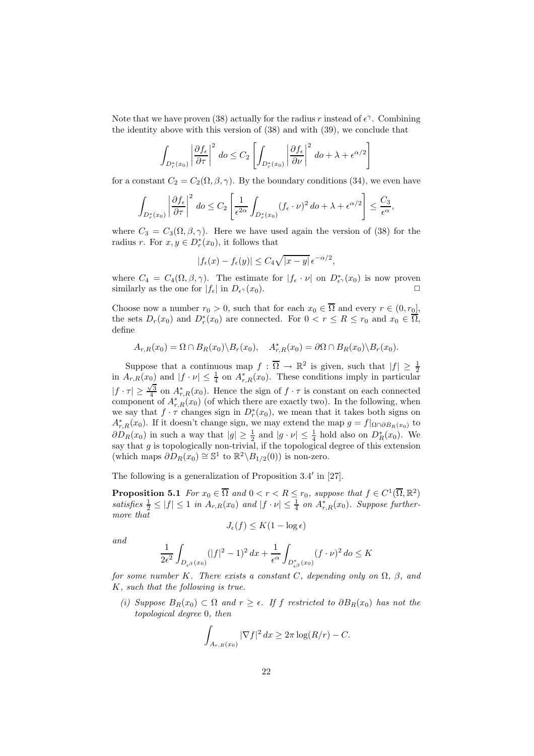Note that we have proven (38) actually for the radius r instead of  $\epsilon^{\gamma}$ . Combining the identity above with this version of (38) and with (39), we conclude that

$$
\int_{D_r^*(x_0)} \left|\frac{\partial f_{\epsilon}}{\partial \tau}\right|^2 \, do \le C_2 \left[ \int_{D_r^*(x_0)} \left|\frac{\partial f_{\epsilon}}{\partial \nu}\right|^2 \, do + \lambda + \epsilon^{\alpha/2} \right]
$$

for a constant  $C_2 = C_2(\Omega, \beta, \gamma)$ . By the boundary conditions (34), we even have

$$
\int_{D_r^*(x_0)} \left|\frac{\partial f_{\epsilon}}{\partial \tau}\right|^2 \, d\sigma \le C_2 \left[\frac{1}{\epsilon^{2\alpha}} \int_{D_r^*(x_0)} (f_{\epsilon} \cdot \nu)^2 \, d\sigma + \lambda + \epsilon^{\alpha/2}\right] \le \frac{C_3}{\epsilon^{\alpha}},
$$

where  $C_3 = C_3(\Omega, \beta, \gamma)$ . Here we have used again the version of (38) for the radius r. For  $x, y \in D_r^*(x_0)$ , it follows that

$$
|f_{\epsilon}(x) - f_{\epsilon}(y)| \le C_4 \sqrt{|x - y|} \epsilon^{-\alpha/2},
$$

where  $C_4 = C_4(\Omega, \beta, \gamma)$ . The estimate for  $|f_{\epsilon} \cdot \nu|$  on  $D^*_{\epsilon}(\mathcal{X}_0)$  is now proven similarly as the one for  $|f_{\epsilon}|$  in  $D_{\epsilon^{\gamma}}(x_0)$ .

Choose now a number  $r_0 > 0$ , such that for each  $x_0 \in \overline{\Omega}$  and every  $r \in (0, r_0]$ , the sets  $D_r(x_0)$  and  $D^*_r(x_0)$  are connected. For  $0 < r \le R \le r_0$  and  $x_0 \in \overline{\Omega}$ , define

$$
A_{r,R}(x_0) = \Omega \cap B_R(x_0) \setminus B_r(x_0), \quad A_{r,R}^*(x_0) = \partial \Omega \cap B_R(x_0) \setminus B_r(x_0).
$$

Suppose that a continuous map  $f : \overline{\Omega} \to \mathbb{R}^2$  is given, such that  $|f| \geq \frac{1}{2}$ in  $A_{r,R}(x_0)$  and  $|f \cdot \nu| \leq \frac{1}{4}$  on  $A_{r,R}^*(x_0)$ . These conditions imply in particular  $|f \cdot \tau| \geq \frac{\sqrt{3}}{4}$  on  $A_{r,R}^*(x_0)$ . Hence the sign of  $f \cdot \tau$  is constant on each connected component of  $A_{r,R}^*(x_0)$  (of which there are exactly two). In the following, when we say that  $f \cdot \tau$  changes sign in  $D_r^*(x_0)$ , we mean that it takes both signs on  $A_{r,R}^*(x_0)$ . If it doesn't change sign, we may extend the map  $g = f|_{\Omega \cap \partial B_R(x_0)}$  to  $\partial D_R(x_0)$  in such a way that  $|g| \geq \frac{1}{2}$  and  $|g \cdot \nu| \leq \frac{1}{4}$  hold also on  $D_R^*(x_0)$ . We say that  $g$  is topologically non-trivial, if the topological degree of this extension (which maps  $\partial D_R(x_0) \cong \mathbb{S}^1$  to  $\mathbb{R}^2 \backslash B_{1/2}(0)$ ) is non-zero.

The following is a generalization of Proposition 3.4 in [27].

**Proposition 5.1** *For*  $x_0 \in \overline{\Omega}$  *and*  $0 < r < R \le r_0$ *, suppose that*  $f \in C^1(\overline{\Omega}, \mathbb{R}^2)$ satisfies  $\frac{1}{2} \leq |f| \leq 1$  in  $A_{r,R}(x_0)$  and  $|f \cdot \nu| \leq \frac{1}{4}$  on  $A_{r,R}^*(x_0)$ *. Suppose furthermore that*

$$
J_{\epsilon}(f) \leq K(1 - \log \epsilon)
$$

*and*

$$
\frac{1}{2\epsilon^2} \int_{D_{\epsilon\beta}(x_0)} (|f|^2 - 1)^2 \, dx + \frac{1}{\epsilon^{\alpha}} \int_{D_{\epsilon\beta}^*(x_0)} (f \cdot \nu)^2 \, d\sigma \le K
$$

*for some number* K*.* There exists a constant C, depending only on  $\Omega$ ,  $\beta$ , and K*, such that the following is true.*

 $(i)$  *Suppose*  $B_R(x_0)$  ⊂  $\Omega$  *and*  $r \geq \epsilon$ *. If f restricted to*  $\partial B_R(x_0)$  *has not the topological degree* 0*, then*

$$
\int_{A_{r,R}(x_0)} |\nabla f|^2 dx \geq 2\pi \log(R/r) - C.
$$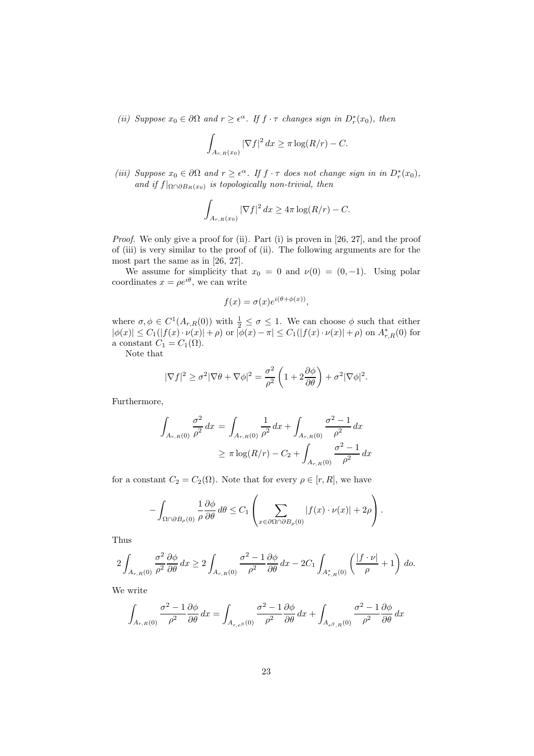*(ii)* Suppose  $x_0 \in \partial \Omega$  and  $r \geq \epsilon^{\alpha}$ . If  $f \cdot \tau$  changes sign in  $D_r^*(x_0)$ , then

$$
\int_{A_{r,R}(x_0)} |\nabla f|^2 dx \ge \pi \log(R/r) - C.
$$

*(iii)* Suppose  $x_0 \in \partial \Omega$  and  $r \geq \epsilon^{\alpha}$ . If  $f \cdot \tau$  does not change sign in in  $D_r^*(x_0)$ , *and if*  $f|_{\Omega \cap \partial B_R(x_0)}$  *is topologically non-trivial, then* 

$$
\int_{A_{r,R}(x_0)} |\nabla f|^2 dx \ge 4\pi \log(R/r) - C.
$$

*Proof.* We only give a proof for (ii). Part (i) is proven in [26, 27], and the proof of (iii) is very similar to the proof of (ii). The following arguments are for the most part the same as in [26, 27].

We assume for simplicity that  $x_0 = 0$  and  $\nu(0) = (0, -1)$ . Using polar coordinates  $x = \rho e^{i\theta}$ , we can write

$$
f(x) = \sigma(x)e^{i(\theta + \phi(x))},
$$

where  $\sigma, \phi \in C^1(A_{r,R}(0))$  with  $\frac{1}{2} \leq \sigma \leq 1$ . We can choose  $\phi$  such that either  $|\phi(x)| \leq C_1(|f(x) \cdot \nu(x)| + \rho)$  or  $|\phi(x) - \pi| \leq C_1(|f(x) \cdot \nu(x)| + \rho)$  on  $A_{r,R}^*(0)$  for a constant  $C_1 = C_1(\Omega)$ .

Note that

$$
|\nabla f|^2 \ge \sigma^2 |\nabla \theta + \nabla \phi|^2 = \frac{\sigma^2}{\rho^2} \left( 1 + 2 \frac{\partial \phi}{\partial \theta} \right) + \sigma^2 |\nabla \phi|^2.
$$

Furthermore,

$$
\int_{A_{r,R}(0)} \frac{\sigma^2}{\rho^2} dx = \int_{A_{r,R}(0)} \frac{1}{\rho^2} dx + \int_{A_{r,R}(0)} \frac{\sigma^2 - 1}{\rho^2} dx
$$
  
 
$$
\geq \pi \log(R/r) - C_2 + \int_{A_{r,R}(0)} \frac{\sigma^2 - 1}{\rho^2} dx
$$

for a constant  $C_2 = C_2(\Omega)$ . Note that for every  $\rho \in [r, R]$ , we have

$$
-\int_{\Omega \cap \partial B_{\rho}(0)} \frac{1}{\rho} \frac{\partial \phi}{\partial \theta} d\theta \leq C_1 \left( \sum_{x \in \partial \Omega \cap \partial B_{\rho}(0)} |f(x) \cdot \nu(x)| + 2\rho \right).
$$

Thus

$$
2\int_{A_{r,R}(0)}\frac{\sigma^2}{\rho^2}\frac{\partial\phi}{\partial\theta}\,dx\geq 2\int_{A_{r,R}(0)}\frac{\sigma^2-1}{\rho^2}\frac{\partial\phi}{\partial\theta}\,dx-2C_1\int_{A_{r,R}^*(0)}\left(\frac{|f\cdot\nu|}{\rho}+1\right)\,d\rho.
$$

We write

$$
\int_{A_{r,R}(0)} \frac{\sigma^2 - 1}{\rho^2} \frac{\partial \phi}{\partial \theta} dx = \int_{A_{r,\epsilon}(\beta)} \frac{\sigma^2 - 1}{\rho^2} \frac{\partial \phi}{\partial \theta} dx + \int_{A_{\epsilon}(\beta,R)} \frac{\sigma^2 - 1}{\rho^2} \frac{\partial \phi}{\partial \theta} dx
$$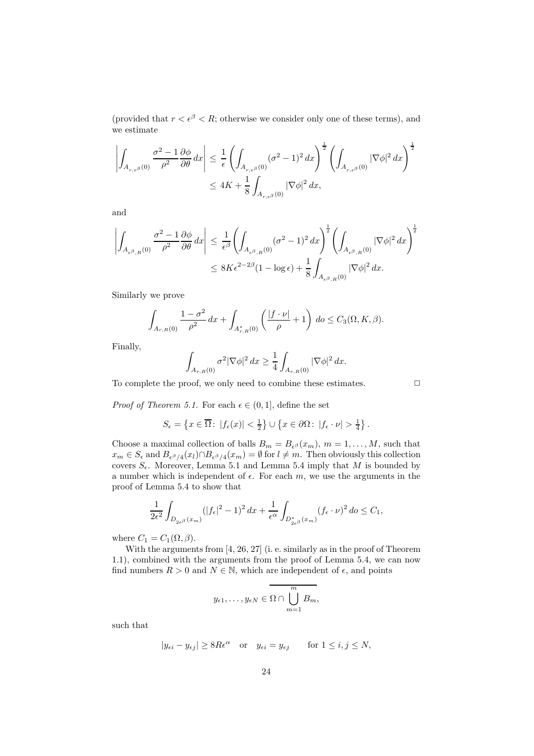(provided that  $r < \epsilon^{\beta} < R$ ; otherwise we consider only one of these terms), and we estimate

$$
\left| \int_{A_{r,\epsilon^{\beta}}(0)} \frac{\sigma^2 - 1}{\rho^2} \frac{\partial \phi}{\partial \theta} dx \right| \leq \frac{1}{\epsilon} \left( \int_{A_{r,\epsilon^{\beta}}(0)} (\sigma^2 - 1)^2 dx \right)^{\frac{1}{2}} \left( \int_{A_{r,\epsilon^{\beta}}(0)} |\nabla \phi|^2 dx \right)^{\frac{1}{2}}
$$
  

$$
\leq 4K + \frac{1}{8} \int_{A_{r,\epsilon^{\beta}}(0)} |\nabla \phi|^2 dx,
$$

and

$$
\left| \int_{A_{\epsilon^{\beta},R}(0)} \frac{\sigma^2 - 1}{\rho^2} \frac{\partial \phi}{\partial \theta} dx \right| \leq \frac{1}{\epsilon^{\beta}} \left( \int_{A_{\epsilon^{\beta},R}(0)} (\sigma^2 - 1)^2 dx \right)^{\frac{1}{2}} \left( \int_{A_{\epsilon^{\beta},R}(0)} |\nabla \phi|^2 dx \right)^{\frac{1}{2}}
$$
  

$$
\leq 8K \epsilon^{2 - 2\beta} (1 - \log \epsilon) + \frac{1}{8} \int_{A_{\epsilon^{\beta},R}(0)} |\nabla \phi|^2 dx.
$$

Similarly we prove

$$
\int_{A_{r,R}(0)} \frac{1-\sigma^2}{\rho^2} dx + \int_{A_{r,R}^*(0)} \left( \frac{|f \cdot \nu|}{\rho} + 1 \right) d\sigma \le C_3(\Omega, K, \beta).
$$

Finally,

$$
\int_{A_{r,R}(0)} \sigma^2 |\nabla \phi|^2 dx \ge \frac{1}{4} \int_{A_{r,R}(0)} |\nabla \phi|^2 dx.
$$

To complete the proof, we only need to combine these estimates.  $\Box$ 

*Proof of Theorem 5.1.* For each  $\epsilon \in (0,1]$ , define the set

$$
S_{\epsilon} = \left\{ x \in \overline{\Omega} : |f_{\epsilon}(x)| < \frac{1}{2} \right\} \cup \left\{ x \in \partial \Omega : |f_{\epsilon} \cdot \nu| > \frac{1}{4} \right\}.
$$

Choose a maximal collection of balls  $B_m = B_{\epsilon^{\beta}}(x_m)$ ,  $m = 1, \ldots, M$ , such that  $x_m \in S_\epsilon$  and  $B_{\epsilon^{\beta}/4}(x_l) \cap B_{\epsilon^{\beta}/4}(x_m) = \emptyset$  for  $l \neq m$ . Then obviously this collection covers  $S_{\epsilon}$ . Moreover, Lemma 5.1 and Lemma 5.4 imply that M is bounded by a number which is independent of  $\epsilon$ . For each m, we use the arguments in the proof of Lemma 5.4 to show that

$$
\frac{1}{2\epsilon^2} \int_{D_{2\epsilon}\beta}(x_m) (|f_{\epsilon}|^2 - 1)^2 dx + \frac{1}{\epsilon^{\alpha}} \int_{D_{2\epsilon}\beta} (f_{\epsilon} \cdot \nu)^2 d\sigma \le C_1,
$$

where  $C_1 = C_1(\Omega, \beta)$ .

With the arguments from [4, 26, 27] (i. e. similarly as in the proof of Theorem 1.1), combined with the arguments from the proof of Lemma 5.4, we can now find numbers  $R > 0$  and  $N \in \mathbb{N}$ , which are independent of  $\epsilon$ , and points

$$
y_{\epsilon 1}, \ldots, y_{\epsilon N} \in \Omega \cap \bigcup_{m=1}^{m} B_m,
$$

such that

$$
|y_{\epsilon i} - y_{\epsilon j}| \ge 8R\epsilon^{\alpha}
$$
 or  $y_{\epsilon i} = y_{\epsilon j}$  for  $1 \le i, j \le N$ ,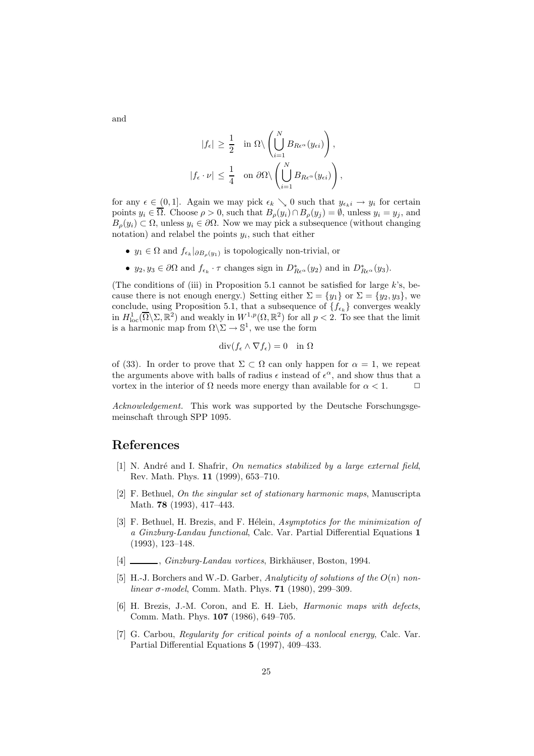$$
|f_{\epsilon}| \geq \frac{1}{2} \quad \text{in } \Omega \setminus \left( \bigcup_{i=1}^{N} B_{R\epsilon^{\alpha}}(y_{\epsilon i}) \right),
$$
  

$$
|f_{\epsilon} \cdot \nu| \leq \frac{1}{4} \quad \text{on } \partial \Omega \setminus \left( \bigcup_{i=1}^{N} B_{R\epsilon^{\alpha}}(y_{\epsilon i}) \right),
$$

for any  $\epsilon \in (0,1]$ . Again we may pick  $\epsilon_k \searrow 0$  such that  $y_{\epsilon_k i} \to y_i$  for certain points  $y_i \in \overline{\Omega}$ . Choose  $\rho > 0$ , such that  $B_{\rho}(y_i) \cap B_{\rho}(y_j) = \emptyset$ , unless  $y_i = y_j$ , and  $B_o(y_i) \subset \Omega$ , unless  $y_i \in \partial \Omega$ . Now we may pick a subsequence (without changing notation) and relabel the points  $y_i$ , such that either

- $y_1 \in \Omega$  and  $f_{\epsilon_k}|_{\partial B_{\rho}(y_1)}$  is topologically non-trivial, or
- $y_2, y_3 \in \partial\Omega$  and  $f_{\epsilon_k} \cdot \tau$  changes sign in  $D_{Re^\alpha}^*(y_2)$  and in  $D_{Re^\alpha}^*(y_3)$ .

(The conditions of (iii) in Proposition 5.1 cannot be satisfied for large  $k$ 's, because there is not enough energy.) Setting either  $\Sigma = \{y_1\}$  or  $\Sigma = \{y_2, y_3\}$ , we conclude, using Proposition 5.1, that a subsequence of  $\{f_{\epsilon_k}\}\$ converges weakly in  $H_{\text{loc}}^1(\overline{\Omega}\setminus\Sigma,\mathbb{R}^2)$  and weakly in  $W^{1,p}(\Omega,\mathbb{R}^2)$  for all  $p < 2$ . To see that the limit is a harmonic map from  $\Omega \backslash \Sigma \to \mathbb{S}^1$ , we use the form

$$
\operatorname{div}(f_{\epsilon} \wedge \nabla f_{\epsilon}) = 0 \quad \text{in } \Omega
$$

of (33). In order to prove that  $\Sigma \subset \Omega$  can only happen for  $\alpha = 1$ , we repeat the arguments above with balls of radius  $\epsilon$  instead of  $\epsilon^{\alpha}$ , and show thus that a vortex in the interior of  $\Omega$  needs more energy than available for  $\alpha < 1$ .

*Acknowledgement.* This work was supported by the Deutsche Forschungsgemeinschaft through SPP 1095.

#### **References**

- [1] N. André and I. Shafrir, *On nematics stabilized by a large external field*, Rev. Math. Phys. **11** (1999), 653–710.
- [2] F. Bethuel, *On the singular set of stationary harmonic maps*, Manuscripta Math. **78** (1993), 417–443.
- [3] F. Bethuel, H. Brezis, and F. H´elein, *Asymptotics for the minimization of a Ginzburg-Landau functional*, Calc. Var. Partial Differential Equations **1** (1993), 123–148.
- [4] , *Ginzburg-Landau vortices*, Birkhäuser, Boston, 1994.
- [5] H.-J. Borchers and W.-D. Garber, *Analyticity of solutions of the* O(n) *nonlinear* σ*-model*, Comm. Math. Phys. **71** (1980), 299–309.
- [6] H. Brezis, J.-M. Coron, and E. H. Lieb, *Harmonic maps with defects*, Comm. Math. Phys. **107** (1986), 649–705.
- [7] G. Carbou, *Regularity for critical points of a nonlocal energy*, Calc. Var. Partial Differential Equations **5** (1997), 409–433.

and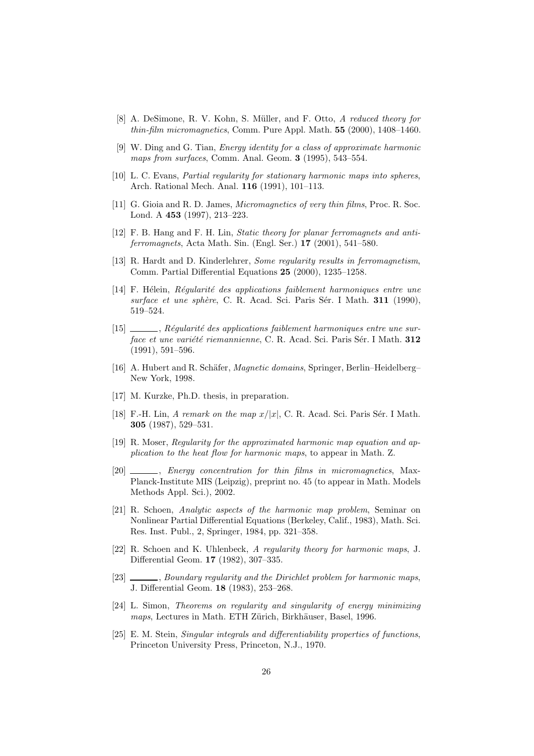- [8] A. DeSimone, R. V. Kohn, S. M¨uller, and F. Otto, *A reduced theory for thin-film micromagnetics*, Comm. Pure Appl. Math. **55** (2000), 1408–1460.
- [9] W. Ding and G. Tian, *Energy identity for a class of approximate harmonic maps from surfaces*, Comm. Anal. Geom. **3** (1995), 543–554.
- [10] L. C. Evans, *Partial regularity for stationary harmonic maps into spheres*, Arch. Rational Mech. Anal. **116** (1991), 101–113.
- [11] G. Gioia and R. D. James, *Micromagnetics of very thin films*, Proc. R. Soc. Lond. A **453** (1997), 213–223.
- [12] F. B. Hang and F. H. Lin, *Static theory for planar ferromagnets and antiferromagnets*, Acta Math. Sin. (Engl. Ser.) **17** (2001), 541–580.
- [13] R. Hardt and D. Kinderlehrer, *Some regularity results in ferromagnetism*, Comm. Partial Differential Equations **25** (2000), 1235–1258.
- [14] F. Hélein, *Régularité des applications faiblement harmoniques entre une surface et une sph`ere*, C. R. Acad. Sci. Paris S´er. I Math. **311** (1990), 519–524.
- [15]  $\_\_\_\_\_\$ ggularité des applications faiblement harmoniques entre une sur*face et une variété riemannienne*, C. R. Acad. Sci. Paris Sér. I Math. **312** (1991), 591–596.
- [16] A. Hubert and R. Schäfer, *Magnetic domains*, Springer, Berlin–Heidelberg– New York, 1998.
- [17] M. Kurzke, Ph.D. thesis, in preparation.
- [18] F.-H. Lin, *A remark on the map*  $x/|x|$ , C. R. Acad. Sci. Paris Sér. I Math. **305** (1987), 529–531.
- [19] R. Moser, *Regularity for the approximated harmonic map equation and application to the heat flow for harmonic maps*, to appear in Math. Z.
- [20] , *Energy concentration for thin films in micromagnetics*, Max-Planck-Institute MIS (Leipzig), preprint no. 45 (to appear in Math. Models Methods Appl. Sci.), 2002.
- [21] R. Schoen, *Analytic aspects of the harmonic map problem*, Seminar on Nonlinear Partial Differential Equations (Berkeley, Calif., 1983), Math. Sci. Res. Inst. Publ., 2, Springer, 1984, pp. 321–358.
- [22] R. Schoen and K. Uhlenbeck, *A regularity theory for harmonic maps*, J. Differential Geom. **17** (1982), 307–335.
- [23] , *Boundary regularity and the Dirichlet problem for harmonic maps*, J. Differential Geom. **18** (1983), 253–268.
- [24] L. Simon, *Theorems on regularity and singularity of energy minimizing maps*, Lectures in Math. ETH Zürich, Birkhäuser, Basel, 1996.
- [25] E. M. Stein, *Singular integrals and differentiability properties of functions*, Princeton University Press, Princeton, N.J., 1970.